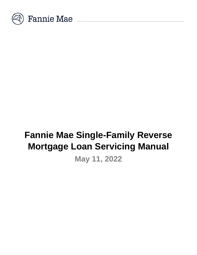

# **Fannie Mae Single-Family Reverse Mortgage Loan Servicing Manual**

**May 11, 2022**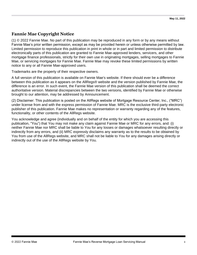# **Fannie Mae Copyright Notice**

(1) © 2022 Fannie Mae. No part of this publication may be reproduced in any form or by any means without Fannie Mae's prior written permission, except as may be provided herein or unless otherwise permitted by law. Limited permission to reproduce this publication in print in whole or in part and limited permission to distribute electronically parts of this publication are granted to Fannie Mae-approved lenders, servicers, and other mortgage finance professionals, strictly for their own use in originating mortgages, selling mortgages to Fannie Mae, or servicing mortgages for Fannie Mae. Fannie Mae may revoke these limited permissions by written notice to any or all Fannie Mae-approved users.

Trademarks are the property of their respective owners.

A full version of this publication is available on Fannie Mae's website. If there should ever be a difference between this publication as it appears on the AllRegs® website and the version published by Fannie Mae, the difference is an error. In such event, the Fannie Mae version of this publication shall be deemed the correct authoritative version. Material discrepancies between the two versions, identified by Fannie Mae or otherwise brought to our attention, may be addressed by Announcement.

(2) Disclaimer: This publication is posted on the AllRegs website of Mortgage Resource Center, Inc., ("MRC") under license from and with the express permission of Fannie Mae. MRC is the exclusive third-party electronic publisher of this publication. Fannie Mae makes no representation or warranty regarding any of the features, functionality, or other contents of the AllRegs website.

You acknowledge and agree (individually and on behalf of the entity for which you are accessing this publication, "You") that You may not make any claim against Fannie Mae or MRC for any errors, and: (i) neither Fannie Mae nor MRC shall be liable to You for any losses or damages whatsoever resulting directly or indirectly from any errors, and (ii) MRC expressly disclaims any warranty as to the results to be obtained by You from use of the AllRegs website, and MRC shall not be liable to You for any damages arising directly or indirectly out of the use of the AllRegs website by You.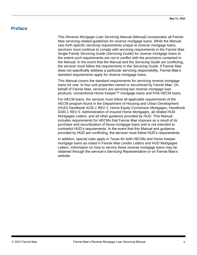# <span id="page-2-0"></span>**Preface**

This *Reverse Mortgage Loan Servicing Manual* (Manual) incorporates all Fannie Mae servicing-related guidelines for reverse mortgage loans. While the Manual sets forth specific servicing requirements unique to reverse mortgage loans, servicers must continue to comply with servicing requirements in the Fannie Mae Single-Family *Servicing Guide* (*Servicing Guide*) for reverse mortgage loans to the extent such requirements are not in conflict with the provisions contained in the Manual. In the event that the Manual and the *Servicing Guide* are conflicting, the servicer must follow the requirements in the *Servicing Guide*. If Fannie Mae does not specifically address a particular servicing responsibility, Fannie Mae's standard requirements apply for reverse mortgage loans.

This Manual covers the standard requirements for servicing reverse mortgage loans for one- to four-unit properties owned or securitized by Fannie Mae. On behalf of Fannie Mae, servicers are servicing two reverse mortgage loan products: conventional Home Keeper™ mortgage loans and FHA HECM loans.

For HECM loans, the servicer must follow all applicable requirements of the HECM program found in the Department of Housing and Urban Development (HUD) Handbook 4235.1 REV-1: Home Equity Conversion Mortgages, Handbook 4330.1 REV-5: Administration of Insured Home Mortgages, all related HUD Mortgagee Letters, and all other guidance provided by HUD. This Manual includes requirements for HECMs that Fannie Mae imposes as a result of its purchase and securitization of those mortgage loans and is not intended to contradict HUD's requirements. In the event that this Manual and guidance provided by HUD are conflicting, the servicer must follow HUD's requirements.

In addition, special rules apply in Texas for both HECMs and Home Keeper mortgage loans as noted in Fannie Mae Lender Letters and HUD Mortgagee Letters. Information on how to service these reverse mortgage loans may be obtained through the servicer's Servicing Representative or on Fannie Mae's website.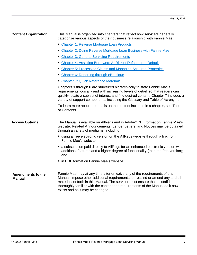| <b>Content Organization</b>               | This Manual is organized into chapters that reflect how servicers generally<br>categorize various aspects of their business relationship with Fannie Mae:                                                                                                                                                                                                        |  |
|-------------------------------------------|------------------------------------------------------------------------------------------------------------------------------------------------------------------------------------------------------------------------------------------------------------------------------------------------------------------------------------------------------------------|--|
|                                           | • Chapter 1: Reverse Mortgage Loan Products                                                                                                                                                                                                                                                                                                                      |  |
|                                           | • Chapter 2: Doing Reverse Mortgage Loan Business with Fannie Mae                                                                                                                                                                                                                                                                                                |  |
|                                           | • Chapter 3: General Servicing Requirements                                                                                                                                                                                                                                                                                                                      |  |
|                                           | Chapter 4: Assisting Borrowers At Risk of Default or In Default                                                                                                                                                                                                                                                                                                  |  |
|                                           | • Chapter 5: Processing Claims and Managing Acquired Properties                                                                                                                                                                                                                                                                                                  |  |
|                                           | • Chapter 6: Reporting through eBoutique                                                                                                                                                                                                                                                                                                                         |  |
|                                           | Chapter 7: Quick Reference Materials                                                                                                                                                                                                                                                                                                                             |  |
|                                           | Chapters 1 through 6 are structured hierarchically to state Fannie Mae's<br>requirements logically and with increasing levels of detail, so that readers can<br>quickly locate a subject of interest and find desired content. Chapter 7 includes a<br>variety of support components, including the Glossary and Table of Acronyms.                              |  |
|                                           | To learn more about the details on the content included in a chapter, see Table<br>of Contents.                                                                                                                                                                                                                                                                  |  |
| <b>Access Options</b>                     | The Manual is available on AllRegs and in Adobe® PDF format on Fannie Mae's<br>website. Related Announcements, Lender Letters, and Notices may be obtained<br>through a variety of mediums, including                                                                                                                                                            |  |
|                                           | using a free electronic version on the AllRegs website through a link from<br>Fannie Mae's website;                                                                                                                                                                                                                                                              |  |
|                                           | ■ a subscription paid directly to AllRegs for an enhanced electronic version with<br>additional features and a higher degree of functionality (than the free version);<br>and                                                                                                                                                                                    |  |
|                                           | ■ in PDF format on Fannie Mae's website.                                                                                                                                                                                                                                                                                                                         |  |
| <b>Amendments to the</b><br><b>Manual</b> | Fannie Mae may at any time alter or waive any of the requirements of this<br>Manual, impose other additional requirements, or rescind or amend any and all<br>material set forth in this Manual. The servicer must ensure that its staff is<br>thoroughly familiar with the content and requirements of the Manual as it now<br>exists and as it may be changed. |  |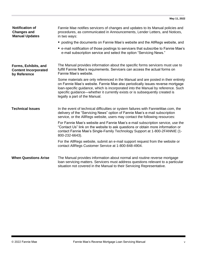| <b>Notification of</b><br><b>Changes and</b><br><b>Manual Updates</b> | Fannie Mae notifies servicers of changes and updates to its Manual policies and<br>procedures, as communicated in Announcements, Lender Letters, and Notices,<br>in two ways:                                                                                                                                                                                          |
|-----------------------------------------------------------------------|------------------------------------------------------------------------------------------------------------------------------------------------------------------------------------------------------------------------------------------------------------------------------------------------------------------------------------------------------------------------|
|                                                                       | ■ posting the documents on Fannie Mae's website and the AllRegs website, and                                                                                                                                                                                                                                                                                           |
|                                                                       | ■ e-mail notification of those postings to servicers that subscribe to Fannie Mae's<br>e-mail subscription service and select the option "Servicing News."                                                                                                                                                                                                             |
| Forms, Exhibits, and<br><b>Content Incorporated</b><br>by Reference   | The Manual provides information about the specific forms servicers must use to<br>fulfill Fannie Mae's requirements. Servicers can access the actual forms on<br>Fannie Mae's website.                                                                                                                                                                                 |
|                                                                       | Some materials are only referenced in the Manual and are posted in their entirety<br>on Fannie Mae's website. Fannie Mae also periodically issues reverse mortgage<br>loan-specific guidance, which is incorporated into the Manual by reference. Such<br>specific guidance—whether it currently exists or is subsequently created is<br>legally a part of the Manual. |
| <b>Technical Issues</b>                                               | In the event of technical difficulties or system failures with FannieMae.com, the<br>delivery of the "Servicing News" option of Fannie Mae's e-mail subscription<br>service, or the AllRegs website, users may contact the following resources:                                                                                                                        |
|                                                                       | For Fannie Mae's website and Fannie Mae's e-mail subscription service, use the<br>"Contact Us" link on the website to ask questions or obtain more information or<br>contact Fannie Mae's Single-Family Technology Support at 1-800-2FANNIE (1-<br>800-232-6643).                                                                                                      |
|                                                                       | For the AllRegs website, submit an e-mail support request from the website or<br>contact AllRegs Customer Service at 1-800-848-4904.                                                                                                                                                                                                                                   |
| <b>When Questions Arise</b>                                           | The Manual provides information about normal and routine reverse mortgage<br>loan servicing matters. Servicers must address questions relevant to a particular<br>situation not covered in the Manual to their Servicing Representative.                                                                                                                               |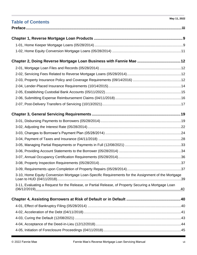| May 11, 2022<br><b>Table of Contents</b>                                                             |
|------------------------------------------------------------------------------------------------------|
|                                                                                                      |
|                                                                                                      |
|                                                                                                      |
|                                                                                                      |
|                                                                                                      |
|                                                                                                      |
|                                                                                                      |
|                                                                                                      |
|                                                                                                      |
|                                                                                                      |
|                                                                                                      |
|                                                                                                      |
|                                                                                                      |
|                                                                                                      |
|                                                                                                      |
|                                                                                                      |
|                                                                                                      |
|                                                                                                      |
|                                                                                                      |
|                                                                                                      |
|                                                                                                      |
| 3-10, Home Equity Conversion Mortgage Loan-Specific Requirements for the Assignment of the Mortgage  |
| 3-11, Evaluating a Request for the Release, or Partial Release, of Property Securing a Mortgage Loan |
|                                                                                                      |
|                                                                                                      |
|                                                                                                      |
|                                                                                                      |
|                                                                                                      |
|                                                                                                      |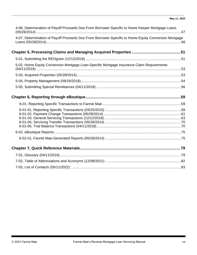| 4-06, Determination of Payoff Proceeds Due From Borrower-Specific to Home Keeper Mortgage Loans      |  |
|------------------------------------------------------------------------------------------------------|--|
| 4-07, Determination of Payoff Proceeds Due From Borrower-Specific to Home Equity Conversion Mortgage |  |
|                                                                                                      |  |
|                                                                                                      |  |
| 5-02, Home Equity Conversion Mortgage Loan-Specific Mortgage Insurance Claim Requirements            |  |
|                                                                                                      |  |
|                                                                                                      |  |
|                                                                                                      |  |
|                                                                                                      |  |
|                                                                                                      |  |
|                                                                                                      |  |
|                                                                                                      |  |
|                                                                                                      |  |
|                                                                                                      |  |
|                                                                                                      |  |
|                                                                                                      |  |
|                                                                                                      |  |
|                                                                                                      |  |
|                                                                                                      |  |
|                                                                                                      |  |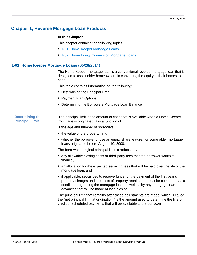# <span id="page-8-0"></span>**Chapter 1, Reverse Mortgage Loan Products**

#### **In this Chapter**

This chapter contains the following topics:

- [1-01, Home Keeper Mortgage Loans](#page-8-1)
- [1-02, Home Equity Conversion Mortgage Loans](#page-10-0)

#### <span id="page-8-1"></span>**1-01, Home Keeper Mortgage Loans (05/28/2014)**

The Home Keeper mortgage loan is a conventional reverse mortgage loan that is designed to assist older homeowners in converting the equity in their homes to cash.

This topic contains information on the following:

- Determining the Principal Limit
- Payment Plan Options
- Determining the Borrowers Mortgage Loan Balance

**Determining the Principal Limit** 

The principal limit is the amount of cash that is available when a Home Keeper mortgage is originated. It is a function of

- the age and number of borrowers,
- the value of the property, and
- whether the borrower chose an equity share feature, for some older mortgage loans originated before August 10, 2000.

The borrower's original principal limit is reduced by

- any allowable closing costs or third-party fees that the borrower wants to finance,
- an allocation for the expected servicing fees that will be paid over the life of the mortgage loan, and
- if applicable, set-asides to reserve funds for the payment of the first year's property charges and the costs of property repairs that must be completed as a condition of granting the mortgage loan, as well as by any mortgage loan advances that will be made at loan closing.

The principal limit that remains after these adjustments are made, which is called the "net principal limit at origination," is the amount used to determine the line of credit or scheduled payments that will be available to the borrower.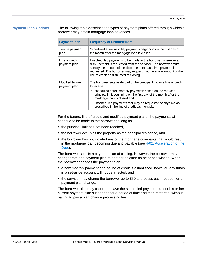**Payment Plan Options** The following table describes the types of payment plans offered through which a borrower may obtain mortgage loan advances.

| <b>Payment Plan</b>             | <b>Frequency of Disbursement</b>                                                                                                                                                                                                                                                                                                                                      |  |
|---------------------------------|-----------------------------------------------------------------------------------------------------------------------------------------------------------------------------------------------------------------------------------------------------------------------------------------------------------------------------------------------------------------------|--|
| Tenure payment<br>plan          | Scheduled equal monthly payments beginning on the first day of<br>the month after the mortgage loan is closed.                                                                                                                                                                                                                                                        |  |
| Line of credit<br>payment plan  | Unscheduled payments to be made to the borrower whenever a<br>disbursement is requested from the servicer. The borrower must<br>specify the amount of the disbursement each time payment is<br>requested. The borrower may request that the entire amount of the<br>line of credit be disbursed at closing.                                                           |  |
| Modified tenure<br>payment plan | The borrower sets aside part of the principal limit as a line of credit<br>to receive<br>• scheduled equal monthly payments based on the reduced<br>principal limit beginning on the first day of the month after the<br>mortgage loan is closed and<br>• unscheduled payments that may be requested at any time as<br>prescribed in the line of credit payment plan. |  |

For the tenure, line of credit, and modified payment plans, the payments will continue to be made to the borrower as long as

- $\blacksquare$  the principal limit has not been reached,
- $\blacksquare$  the borrower occupies the property as the principal residence, and
- the borrower has not violated any of the mortgage covenants that would result in the mortgage loan becoming due and payable (see 4-02, Acceleration of the [Debt\)](#page-40-0).

The borrower selects a payment plan at closing. However, the borrower may change from one payment plan to another as often as he or she wishes. When the borrower changes the payment plan,

- a new monthly payment and/or line of credit is established; however, any funds in a set-aside account will not be affected, and
- the servicer may charge the borrower up to \$50 to process each request for a payment plan change.

The borrower also may choose to have the scheduled payments under his or her current payment plan suspended for a period of time and then restarted, without having to pay a plan change processing fee.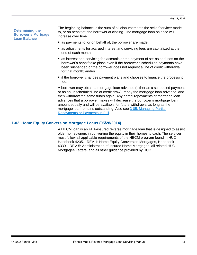#### **Determining the Borrower's Mortgage Loan Balance**

The beginning balance is the sum of all disbursements the seller/servicer made to, or on behalf of, the borrower at closing. The mortgage loan balance will increase over time

- as payments to, or on behalf of, the borrower are made;
- as adjustments for accrued interest and servicing fees are capitalized at the end of each month;
- as interest and servicing fee accruals or the payment of set-aside funds on the borrower's behalf take place even if the borrower's scheduled payments have been suspended or the borrower does not request a line of credit withdrawal for that month; and/or
- if the borrower changes payment plans and chooses to finance the processing fee.

A borrower may obtain a mortgage loan advance (either as a scheduled payment or as an unscheduled line of credit draw), repay the mortgage loan advance, and then withdraw the same funds again. Any partial repayments of mortgage loan advances that a borrower makes will decrease the borrower's mortgage loan amount equally and will be available for future withdrawal as long as the mortgage loan remains outstanding. Also see [3-05, Managing Partial](#page-32-0)  [Repayments or Payments in Full.](#page-32-0)

#### <span id="page-10-0"></span>**1-02, Home Equity Conversion Mortgage Loans (05/28/2014)**

A HECM loan is an FHA-insured reverse mortgage loan that is designed to assist older homeowners in converting the equity in their homes to cash. The servicer must follow all applicable requirements of the HECM program found in HUD Handbook 4235.1 REV-1: Home Equity Conversion Mortgages, Handbook 4330.1 REV-5: Administration of Insured Home Mortgages, all related HUD Mortgagee Letters, and all other guidance provided by HUD.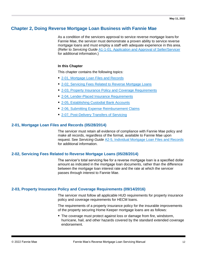# <span id="page-11-0"></span>**Chapter 2, Doing Reverse Mortgage Loan Business with Fannie Mae**

As a condition of the servicers approval to service reverse mortgage loans for Fannie Mae, the servicer must demonstrate a proven ability to service reverse mortgage loans and must employ a staff with adequate experience in this area. (Refer to *Servicing Guide* [A1-1-01, Application and Approval of Seller/Servicer](https://www.fanniemae.com/content/guide/servicing/a1/1/01.html) for additional information.)

#### **In this Chapter**

This chapter contains the following topics:

- [2-01, Mortgage Loan Files and Records](#page-11-1)
- [2-02, Servicing Fees Related to Reverse Mortgage Loans](#page-11-2)
- 2-03, Property [Insurance Policy and Coverage Requirements](#page-11-3)
- [2-04, Lender-Placed Insurance Requirements](#page-13-0)
- [2-05, Establishing Custodial Bank Accounts](#page-14-0)
- [2-06, Submitting Expense Reimbursement Claims](#page-15-0)
- **[2-07, Post-Delivery Transfers of Servicing](#page-16-0)**

#### <span id="page-11-1"></span>**2-01, Mortgage Loan Files and Records (05/28/2014)**

The servicer must retain all evidence of compliance with Fannie Mae policy and make all records, regardless of the format, available to Fannie Mae upon request. See *Servicing Guide* [A2-5, Individual Mortgage Loan Files and Records](https://www.fanniemae.com/content/guide/servicing/a/index.html) for additional information.

#### <span id="page-11-2"></span>**2-02, Servicing Fees Related to Reverse Mortgage Loans (05/28/2014)**

The servicer's total servicing fee for a reverse mortgage loan is a specified dollar amount as indicated in the mortgage loan documents, rather than the difference between the mortgage loan interest rate and the rate at which the servicer passes through interest to Fannie Mae.

#### <span id="page-11-3"></span>**2-03, Property Insurance Policy and Coverage Requirements (09/14/2016)**

The servicer must follow all applicable HUD requirements for property insurance policy and coverage requirements for HECM loans.

The requirements of a property insurance policy for the insurable improvements of the property securing Home Keeper mortgage loans are as follows:

■ The coverage must protect against loss or damage from fire, windstorm, hurricane, hail, and other hazards covered by the standard extended coverage endorsement.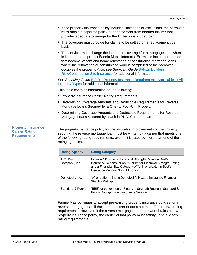- If the property insurance policy includes limitations or exclusions, the borrower must obtain a separate policy or endorsement from another insurer that provides adequate coverage for the limited or excluded peril.
- The coverage must provide for claims to be settled on a replacement cost basis.
- **The servicer must change the insurance coverage for a mortgage loan when it** is inadequate to protect Fannie Mae's interests. Examples include properties that become vacant and home renovation or construction mortgage loans where the renovation or construction work is completed or the borrower occupies the property. Also, see *Servicing Guide* [B-4-02, Builder's](https://www.fanniemae.com/content/guide/servicing/b/4/02.html)  [Risk/Construction Site Insurance](https://www.fanniemae.com/content/guide/servicing/b/4/02.html) for additional information.

See *Servicing Guide* [B-2-01, Property Insurance Requirements Applicable to All](https://www.fanniemae.com/content/guide/servicing/b/2/01.html)  [Property Types](https://www.fanniemae.com/content/guide/servicing/b/2/01.html) for additional information.

This topic contains information on the following:

- **Property Insurance Carrier Rating Requirements**
- **Determining Coverage Amounts and Deductible Requirements for Reverse** Mortgage Loans Secured by a One- to Four-Unit Property
- **E** Determining Coverage Amounts and Deductible Requirements for Reverse Mortgage Loans Secured by a Unit in PUD, Condo, or Co-op

The property insurance policy for the insurable improvements of the property securing the reverse mortgage loan must be written by a carrier that meets one of the following rating requirements, even if it is rated by more than one of the rating agencies.

| <b>Rating Agency</b>       | <b>Rating Category</b>                                                                                                                                                                                                              |
|----------------------------|-------------------------------------------------------------------------------------------------------------------------------------------------------------------------------------------------------------------------------------|
| A.M. Best<br>Company, Inc. | Either a "B" or better Financial Strength Rating in Best's<br>Insurance Reports, or an "A" or better Financial Strength Rating<br>and a Financial Size Category of "VIII "or greater in Best's<br>Insurance Reports Non-US Edition. |
| Demotech, Inc.             | "A" or better rating in Demotech's Hazard Insurance Financial<br>Stability Ratings.                                                                                                                                                 |
| Standard & Poor's          | "BBB" or better Insurer Financial Strength Rating in Standard &<br>Poor's Ratings Direct Insurance Service.                                                                                                                         |

Fannie Mae continues to accept pre-existing property insurance policies for a reverse mortgage loan if the insurance carrier does not meet Fannie Mae rating requirements. However, if the reverse mortgage loan borrower obtains a new property insurance policy, the carrier of that policy must satisfy Fannie Mae's rating requirements.

#### **Property Insurance Carrier Rating Requirements**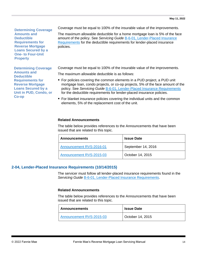**Determining Coverage Amounts and Deductible Requirements for Reverse Mortgage Loans Secured by a One- to Four-Unit Property**

Coverage must be equal to 100% of the insurable value of the improvements.

The maximum allowable deductible for a home mortgage loan is 5% of the face amount of the policy. See *Servicing Guide* [B-6-01, Lender-Placed Insurance](https://www.fanniemae.com/content/guide/servicing/b/6/01.html)  [Requirements](https://www.fanniemae.com/content/guide/servicing/b/6/01.html) for the deductible requirements for lender-placed insurance policies.

**Determining Coverage Amounts and Deductible Requirements for Reverse Mortgage Loans Secured by a Unit in PUD, Condo, or Co-op**

Coverage must be equal to 100% of the insurable value of the improvements.

The maximum allowable deductible is as follows:

- For policies covering the common elements in a PUD project, a PUD unit mortgage loan, condo projects, or co-op projects, 5% of the face amount of the policy. See *Servicing Guide* [B-6-01, Lender-Placed Insurance Requirements](https://www.fanniemae.com/content/guide/servicing/b/6/01.html) for the deductible requirements for lender-placed insurance policies.
- For blanket insurance policies covering the individual units and the common elements, 5% of the replacement cost of the unit.

#### **Related Announcements**

The table below provides references to the Announcements that have been issued that are related to this topic.

| <b>Announcements</b>     | <b>Issue Date</b>  |
|--------------------------|--------------------|
| Announcement RVS-2016-01 | September 14, 2016 |
| Announcement RVS-2015-03 | October 14, 2015   |

#### <span id="page-13-0"></span>**2-04, Lender-Placed Insurance Requirements (10/14/2015)**

The servicer must follow all lender-placed insurance requirements found in the *Servicing Guide* [B-6-01, Lender-Placed Insurance Requirements.](https://www.fanniemae.com/content/guide/servicing/b/6/01.html)

#### **Related Announcements**

The table below provides references to the Announcements that have been issued that are related to this topic.

| ∣ Announcements          | <b>Issue Date</b> |
|--------------------------|-------------------|
| Announcement RVS-2015-03 | October 14, 2015  |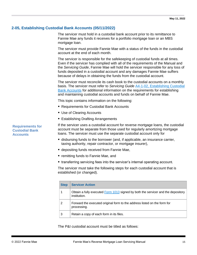### <span id="page-14-0"></span>**2-05, Establishing Custodial Bank Accounts (05/11/2022)**

The servicer must hold in a custodial bank account prior to its remittance to Fannie Mae any funds it receives for a portfolio mortgage loan or an MBS mortgage loan.

The servicer must provide Fannie Mae with a status of the funds in the custodial account at the end of each month.

The servicer is responsible for the safekeeping of custodial funds at all times. Even if the servicer has complied with all of the requirements of the Manual and the *Servicing Guide*, Fannie Mae will hold the servicer responsible for any loss of funds deposited in a custodial account and any damages Fannie Mae suffers because of delays in obtaining the funds from the custodial account.

The servicer must reconcile its cash book to the custodial accounts on a monthly basis. The servicer must refer to *Servicing Guide* [A4-1-02, Establishing Custodial](https://www.fanniemae.com/content/guide/servicing/a4/1/02.html)  [Bank Accounts](https://www.fanniemae.com/content/guide/servicing/a4/1/02.html) for additional information on the requirements for establishing and maintaining custodial accounts and funds on behalf of Fannie Mae.

This topic contains information on the following:

- Requirements for Custodial Bank Accounts
- Use of Clearing Accounts
- Establishing Drafting Arrangements

If the servicer uses a custodial account for reverse mortgage loans, the custodial account must be separate from those used for regularly amortizing mortgage loans. The servicer must use the separate custodial account only for

- disbursing funds to the borrower (and, if applicable, an insurance carrier, taxing authority, repair contractor, or mortgage insurer),
- depositing funds received from Fannie Mae,
- remitting funds to Fannie Mae, and
- transferring servicing fees into the servicer's internal operating account.

The servicer must take the following steps for each custodial account that is established (or changed).

| <b>Step</b> | <b>Servicer Action</b>                                                                           |  |
|-------------|--------------------------------------------------------------------------------------------------|--|
|             | Obtain a fully executed Form 1013 signed by both the servicer and the depository<br>institution. |  |
| 2           | Forward the executed original form to the address listed on the form for<br>processing.          |  |
| 3           | Retain a copy of each form in its files.                                                         |  |

The P&I custodial account must be titled as follows:

**Requirements for Custodial Bank Accounts**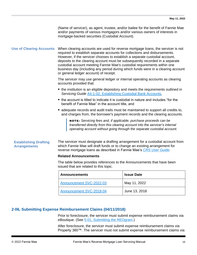|                                 | (Name of servicer), as agent, trustee, and/or bailee for the benefit of Fannie Mae<br>and/or payments of various mortgagors and/or various owners of interests in<br>mortgage-backed securities (Custodial Account).                                                                                                                                                                                                                                                                                                                   |
|---------------------------------|----------------------------------------------------------------------------------------------------------------------------------------------------------------------------------------------------------------------------------------------------------------------------------------------------------------------------------------------------------------------------------------------------------------------------------------------------------------------------------------------------------------------------------------|
| <b>Use of Clearing Accounts</b> | When clearing accounts are used for reverse mortgage loans, the servicer is not<br>required to establish separate accounts for collections and disbursements.<br>However, if the servicer chooses to establish a separate custodial account,<br>deposits to the clearing account must be subsequently recorded in a separate<br>custodial account meeting Fannie Mae's custodial requirements within one<br>business day (including any period during which funds were in a clearing account<br>or general ledger account) of receipt. |
|                                 | The servicer may use general ledger or internal operating accounts as clearing<br>accounts provided that:                                                                                                                                                                                                                                                                                                                                                                                                                              |

- the institution is an eligible depository and meets the requirements outlined in *Servicing Guide* [A4-1-02, Establishing Custodial Bank Accounts](https://www.fanniemae.com/content/guide/servicing/a4/1/02.html)*,*
- $\blacksquare$  the account is titled to indicate it is custodial in nature and includes "for the benefit of Fannie Mae" in the account title, and
- adequate records and audit trails must be maintained to support all credits to, and charges from, the borrower's payment records and the clearing accounts.

NOTE: *Servicing fees and, if applicable, purchase proceeds can be transferred directly from this clearing account into the servicer's internal operating account without going through the separate custodial account.*

#### **Establishing Drafting Arrangements**

The servicer must designate a drafting arrangement for a custodial account from which Fannie Mae will draft funds or to change an existing arrangement for reverse mortgage loans as described in Fannie Mae's *[CRS User Guide](singlefamily.fanniemae.com/media/document/pdf/cash-remittance-system-user-guide)*.

#### **Related Announcements**

The table below provides references to the Announcements that have been issued that are related to this topic.

| <b>Announcements</b>     | <b>Issue Date</b> |
|--------------------------|-------------------|
| Announcement SVC-2022-03 | May 11, 2022      |
| Announcement SVC-2018-04 | June 13, 2018     |

#### <span id="page-15-0"></span>**2-06, Submitting Expense Reimbursement Claims (04/11/2018)**

Prior to foreclosure, the servicer must submit expense reimbursement claims via eBoutique. (See [5-01, Submitting the REOgram.](#page-50-1))

After foreclosure, the servicer must submit expense reimbursement claims via Property 360™. The servicer must not submit expense reimbursement claims via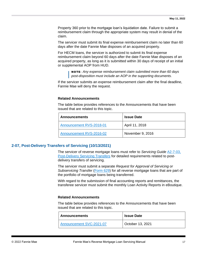Property 360 prior to the mortgage loan's liquidation date. Failure to submit a reimbursement claim through the appropriate system may result in denial of the claim.

The servicer must submit its final expense reimbursement claim no later than 60 days after the date Fannie Mae disposes of an acquired property.

For HECM loans, the servicer is authorized to submit its final expense reimbursement claim beyond 60 days after the date Fannie Mae disposes of an acquired property, as long as it is submitted within 30 days of receipt of an initial or supplemental AOP from HUD.

NOTE**:** *Any expense reimbursement claim submitted more than 60 days post-disposition must include an AOP in the supporting documents.*

If the servicer submits an expense reimbursement claim after the final deadline, Fannie Mae will deny the request.

#### **Related Announcements**

The table below provides references to the Announcements that have been issued that are related to this topic.

| <b>Announcements</b>     | <b>Issue Date</b> |
|--------------------------|-------------------|
| Announcement RVS-2018-01 | April 11, 2018    |
| Announcement RVS-2016-02 | November 9, 2016  |

#### <span id="page-16-0"></span>**2-07, Post-Delivery Transfers of Servicing (10/13/2021)**

The servicer of reverse mortgage loans must refer to *Servicing Guide* [A2-7-03,](https://www.fanniemae.com/content/guide/servicing/a2/7/03.html)  [Post-Delivery Servicing Transfers](https://www.fanniemae.com/content/guide/servicing/a2/7/03.html) for detailed requirements related to postdelivery transfers of servicing.

The servicer must submit a separate *Request for Approval of Servicing or Subservicing Transfer* [\(Form 629\)](https://singlefamily.fanniemae.com/applications-technology/servicing-transfer-approval) for all reverse mortgage loans that are part of the portfolio of mortgage loans being transferred.

With regard to the submission of final accounting reports and remittances, the transferee servicer must submit the monthly Loan Activity Reports in eBoutique.

#### **Related Announcements**

The table below provides references to the Announcements that have been issued that are related to this topic.

| Announcements            | <b>Issue Date</b> |
|--------------------------|-------------------|
| Announcement SVC-2021-07 | October 13, 2021  |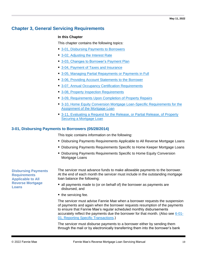# <span id="page-18-0"></span>**Chapter 3, General Servicing Requirements**

#### **In this Chapter**

This chapter contains the following topics:

- [3-01, Disbursing Payments to Borrowers](#page-18-1)
- 3-02, Adiusting the Interest Rate
- [3-03, Changes to Borrower's Payment Plan](#page-23-0)
- [3-04, Payment of Taxes and Insurance](#page-27-0)
- [3-05, Managing Partial Repayments or Payments in Full](#page-32-0)
- [3-06, Providing Account Statements to the Borrower](#page-33-0)
- [3-07, Annual Occupancy Certification Requirements](#page-35-0)
- [3-08, Property Inspection Requirements](#page-36-0)
- [3-09, Requirements Upon Completion of Property Repairs](#page-36-1)
- 3-10, Home Equity Conversion Mortgage Loan-Specific Requirements for the [Assignment of the Mortgage Loan](#page-38-1)
- 3-11, Evaluating a Request for the Release, or Partial Release, of Property [Securing a Mortgage Loan](#page-39-2)

#### <span id="page-18-1"></span>**3-01, Disbursing Payments to Borrowers (05/28/2014)**

This topic contains information on the following:

- **Disbursing Payments Requirements Applicable to All Reverse Mortgage Loans**
- **Disbursing Payments Requirements Specific to Home Keeper Mortgage Loans**
- Disbursing Payments Requirements Specific to Home Equity Conversion Mortgage Loans

**Disbursing Payments Requirements Applicable to All Reverse Mortgage Loans**

The servicer must advance funds to make allowable payments to the borrower. At the end of each month the servicer must include in the outstanding mortgage loan balance the following:

- all payments made to (or on behalf of) the borrower as payments are disbursed, and
- the servicing fee.

The servicer must advise Fannie Mae when a borrower requests the suspension of payments and again when the borrower requests resumption of the payments to ensure that Fannie Mae's regular scheduled monthly disbursements accurately reflect the payments due the borrower for that month. (Also see [6-01-](#page-58-2) [01, Reporting Specific Transactions.](#page-58-2))

The servicer must disburse payments to a borrower either by sending them through the mail or by electronically transferring them into the borrower's bank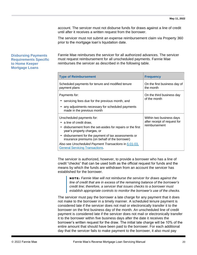account. The servicer must not disburse funds for draws against a line of credit until after it receives a written request from the borrower.

The servicer must not submit an expense reimbursement claim via Property 360 prior to the mortgage loan's liquidation date.

#### **Disbursing Payments Requirements Specific to Home Keeper Mortgage Loans**

Fannie Mae reimburses the servicer for all authorized advances. The servicer must request reimbursement for all unscheduled payments. Fannie Mae reimburses the servicer as described in the following table.

| <b>Type of Reimbursement</b>                                                                                                                                                                                                                                                                                                                                     | <b>Frequency</b>                                                          |
|------------------------------------------------------------------------------------------------------------------------------------------------------------------------------------------------------------------------------------------------------------------------------------------------------------------------------------------------------------------|---------------------------------------------------------------------------|
| Scheduled payments for tenure and modified tenure<br>payment plans                                                                                                                                                                                                                                                                                               | On the first business day of<br>the month                                 |
| Payments for:<br>• servicing fees due for the previous month, and<br>any adjustments necessary for scheduled payments<br>made in the previous month                                                                                                                                                                                                              | On the third business day<br>of the month                                 |
| Unscheduled payments for:<br>• a line of credit draw,<br>• disbursement from the set-asides for repairs or the first<br>year's property charges, or<br>• disbursement for the payment of tax assessments or<br>insurance premiums (on behalf of the borrower)<br>Also see Unscheduled Payment Transactions in 6-01-03,<br><b>General Servicing Transactions.</b> | Within two business days<br>after receipt of request for<br>reimbursement |

The servicer is authorized, however, to provide a borrower who has a line of credit "checks" that can be used both as the official request for funds and the means by which the funds are withdrawn from an account the servicer has established for the borrower.

NOTE: *Fannie Mae will not reimburse the servicer for draws against the line of credit that are in excess of the remaining balance of the borrower's credit line; therefore, a servicer that issues checks to a borrower must establish appropriate controls to monitor the borrower's use of the checks.*

The servicer must pay the borrower a late charge for any payment that it does not make to the borrower in a timely manner. A scheduled tenure payment is considered late if the servicer does not mail or electronically transfer it to the borrower on the first business day of the month. An unscheduled line of credit payment is considered late if the servicer does not mail or electronically transfer it to the borrower within five business days after the date it receives the borrower's written request for the draw. The initial late charge will be 10% of the entire amount that should have been paid to the borrower. For each additional day that the servicer fails to make payment to the borrower, it also must pay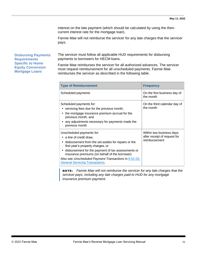interest on the late payment (which should be calculated by using the thencurrent interest rate for the mortgage loan).

Fannie Mae will not reimburse the servicer for any late charges that the servicer pays.

**Disbursing Payments Requirements Specific to Home Equity Conversion Mortgage Loans**

The servicer must follow all applicable HUD requirements for disbursing payments to borrowers for HECM loans.

Fannie Mae reimburses the servicer for all authorized advances. The servicer must request reimbursement for all unscheduled payments. Fannie Mae reimburses the servicer as described in the following table.

| <b>Type of Reimbursement</b>                                                                                                                                                                                                                                                                                                                                 | <b>Frequency</b>                                                          |
|--------------------------------------------------------------------------------------------------------------------------------------------------------------------------------------------------------------------------------------------------------------------------------------------------------------------------------------------------------------|---------------------------------------------------------------------------|
| Scheduled payments                                                                                                                                                                                                                                                                                                                                           | On the first business day of<br>the month                                 |
| Scheduled payments for:<br>servicing fees due for the previous month,<br>the mortgage insurance premium accrual for the<br>previous month, and<br>any adjustments necessary for payments made the<br>previous month                                                                                                                                          | On the third calendar day of<br>the month                                 |
| Unscheduled payments for:<br>a line of credit draw,<br>disbursement from the set-asides for repairs or the<br>first year's property charges, or<br>• disbursement for the payment of tax assessments or<br>insurance premiums (on behalf of the borrower)<br>Also see Unscheduled Payment Transactions in 6-01-03,<br><b>General Servicing Transactions.</b> | Within two business days<br>after receipt of request for<br>reimbursement |

NOTE: *Fannie Mae will not reimburse the servicer for any late charges that the servicer pays, including any late charges paid to HUD for any mortgage insurance premium payment.*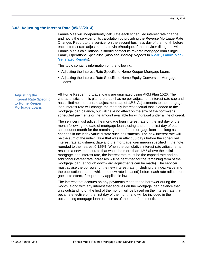### <span id="page-21-0"></span>**3-02, Adjusting the Interest Rate (05/28/2014)**

Fannie Mae will independently calculate each scheduled interest rate change and notify the servicer of its calculation by providing the Reverse Mortgage Rate Changes Report to the servicer on the second business day of the month before each interest rate adjustment date via eBoutique. If the servicer disagrees with Fannie Mae's calculations, it should contact its reverse mortgage loan Single Family Operations Specialist. (Also see *Monthly Reports* in 6.2-01, [Fannie Mae-](#page-74-1)[Generated Reports\)](#page-74-1).

This topic contains information on the following:

- Adjusting the Interest Rate Specific to Home Keeper Mortgage Loans
- Adjusting the Interest Rate Specific to Home Equity Conversion Mortgage Loans

#### **Adjusting the Interest Rate Specific to Home Keeper Mortgage Loans**

All Home Keeper mortgage loans are originated using ARM Plan 1526. The characteristics of this plan are that it has no per-adjustment interest rate cap and has a lifetime interest rate adjustment cap of 12%. Adjustments to the mortgage loan interest rate will change the monthly interest accrual that is added to the mortgage loan balance, but will have no effect on the size of the borrower's scheduled payments or the amount available for withdrawal under a line of credit.

The servicer must adjust the mortgage loan interest rate on the first day of the month following the date of mortgage loan closing and on the first day of each subsequent month for the remaining term of the mortgage loan—as long as changes in the index value dictate such adjustments. The new interest rate will be the sum of the index value that was in effect 30 days before the scheduled interest rate adjustment date and the mortgage loan margin specified in the note, rounded to the nearest 0.125%. When the cumulative interest rate adjustments result in a new interest rate that would be more than 12% above the initial mortgage loan interest rate, the interest rate must be the capped rate and no additional interest rate increases will be permitted for the remaining term of the mortgage loan (although downward adjustments can be made). The servicer must advise the borrower of the new interest rate (including the index value and the publication date on which the new rate is based) before each rate adjustment goes into effect, if required by applicable law.

The interest that accrues on any payments made to the borrower during the month, along with any interest that accrues on the mortgage loan balance that was outstanding on the first of the month, will be based on the interest rate that became effective on the first day of the month and will be included in the outstanding mortgage loan balance as of the end of the month.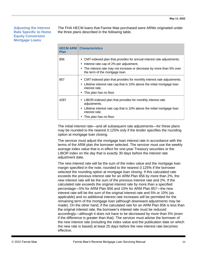#### **Adjusting the Interest Rate Specific to Home Equity Conversion Mortgage Loans**

The FHA HECM loans that Fannie Mae purchased were ARMs originated under the three plans described in the following table.

| <b>Plan</b> | <b>HECM ARM   Characteristics</b>                                                                                                                                                                                                       |  |
|-------------|-----------------------------------------------------------------------------------------------------------------------------------------------------------------------------------------------------------------------------------------|--|
| 856         | CMT-indexed plan that provides for annual interest rate adjustments.<br>٠<br>Interest rate cap of 2% per adjustment.<br>٠<br>The interest rate may not increase or decrease by more than 5% over<br>٠<br>the term of the mortgage loan. |  |
| 857         | CMT-indexed plan that provides for monthly interest rate adjustments.<br>٠<br>Lifetime interest rate cap that is 10% above the initial mortgage loan<br>$\bullet$<br>interest rate.<br>This plan has no floor.                          |  |
| 4287        | LIBOR-indexed plan that provides for monthly interest rate<br>٠<br>adjustments.<br>Lifetime interest rate cap that is 10% above the initial mortgage loan<br>$\bullet$<br>interest rate.<br>This plan has no floor.                     |  |

The initial interest rate—and all subsequent rate adjustments—for these plans may be rounded to the nearest 0.125% only if the lender specifies the rounding option at mortgage loan closing.

The servicer must adjust the mortgage loan interest rate in accordance with the terms of the ARM plan the borrower selected. The servicer must use the weekly average index value that is in effect for one-year Treasury securities or the LIBOR index on the day that is exactly 30 days before the interest rate adjustment date.

The new interest rate will be the sum of the index value and the mortgage loan margin specified in the note, rounded to the nearest 0.125% if the borrower selected the rounding option at mortgage loan closing. If this calculated rate exceeds the previous interest rate for an ARM Plan 856 by more than 2%, the new interest rate will be the sum of the previous interest rate and 2%. If the calculated rate exceeds the original interest rate by more than a specified percentage—5% for ARM Plan 856 and 10% for ARM Plan 857—the new interest rate will be the sum of the original interest rate and 5% or 10% (as applicable) and no additional interest rate increases will be permitted for the remaining term of the mortgage loan (although downward adjustments may be made). On the other hand, if the calculated rate for an ARM Plan 856 is less than the original interest rate, the borrower's interest rate must be reduced accordingly—although it does not have to be decreased by more than 5% (even if the difference is greater than that). The servicer must advise the borrower of the new interest rate (including the index value and the publication date on which the new rate is based) at least 25 days before the new interest rate becomes effective.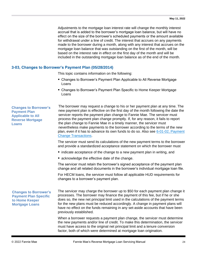Adjustments to the mortgage loan interest rate will change the monthly interest accrual that is added to the borrower's mortgage loan balance, but will have no effect on the size of the borrower's scheduled payments or the amount available for withdrawal under a line of credit. The interest that accrues on any payments made to the borrower during a month, along with any interest that accrues on the mortgage loan balance that was outstanding on the first of the month, will be based on the interest rate in effect on the first day of the month and will be included in the outstanding mortgage loan balance as of the end of the month.

#### <span id="page-23-0"></span>**3-03, Changes to Borrower's Payment Plan (05/28/2014)**

This topic contains information on the following:

- Changes to Borrower's Payment Plan Applicable to All Reverse Mortgage Loans
- Changes to Borrower's Payment Plan Specific to Home Keeper Mortgage Loans

**Changes to Borrower's Payment Plan Applicable to All Reverse Mortgage Loans**

The borrower may request a change to his or her payment plan at any time. The new payment plan is effective on the first day of the month following the date the servicer reports the payment plan change to Fannie Mae. The servicer must process the payment plan change promptly. If, for any reason, it fails to report the plan change to Fannie Mae in a timely manner, the servicer must nevertheless make payments to the borrower according to the terms of the new plan, even if it has to advance its own funds to do so. Also see [6-01-02, Payment](#page-60-0)  [Change Transactions.](#page-60-0)

The servicer must send its calculations of the new payment terms to the borrower and provide a standardized acceptance statement on which the borrower must

- indicate acceptance of the change to a new payment plan in writing, and
- acknowledge the effective date of the change.

The servicer must retain the borrower's signed acceptance of the payment plan change and all related documents in the borrower's individual mortgage loan file.

For HECM loans, the servicer must follow all applicable HUD requirements for changes to a borrower's payment plan.

#### **Changes to Borrower's Payment Plan Specific to Home Keeper Mortgage Loans**

The servicer may charge the borrower up to \$50 for each payment plan change it processes. The borrower may finance the payment of this fee, but if he or she does so, the new net principal limit used in the calculations of the payment terms for the new plans must be reduced accordingly. A change in payment plans will have no effect on the funds remaining in any set-aside accounts that have been previously established.

When a borrower requests a payment plan change, the servicer must determine the new payments and/or line of credit. To make this determination, the servicer must have access to the original net principal limit and a tenure conversion factor, both of which were determined at mortgage loan origination.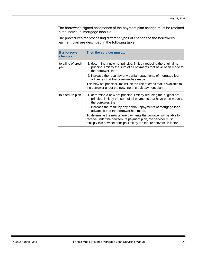The borrower's signed acceptance of the payment plan change must be retained in the individual mortgage loan file.

The procedures for processing different types of changes to the borrower's payment plan are described in the following table.

| If a borrower<br>changes    | Then the servicer must                                                                                                                                                                                      |  |
|-----------------------------|-------------------------------------------------------------------------------------------------------------------------------------------------------------------------------------------------------------|--|
| to a line of credit<br>plan | 1. determine a new net principal limit by reducing the original net<br>principal limit by the sum of all payments that have been made to<br>the borrower, then                                              |  |
|                             | 2. increase the result by any partial repayments of mortgage loan<br>advances that the borrower has made.                                                                                                   |  |
|                             | This new net principal limit will be the line of credit that is available to<br>the borrower under the new line of credit payment plan.                                                                     |  |
| to a tenure plan            | 1. determine a new net principal limit by reducing the original net<br>principal limit by the sum of all payments that have been made to<br>the borrower, then                                              |  |
|                             | 2. increase the result by any partial repayments of mortgage loan<br>advances that the borrower has made.                                                                                                   |  |
|                             | To determine the new tenure payments the borrower will be able to<br>receive under the new tenure payment plan, the servicer must<br>multiply this new net principal limit by the tenure conversion factor. |  |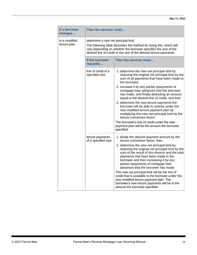| If a borrower<br>changes     | Then the servicer must                                                                                                                                                                                                                                |                                                                                                                                                                                                                                                                                                                                                                                                                                                                                                                                                           |
|------------------------------|-------------------------------------------------------------------------------------------------------------------------------------------------------------------------------------------------------------------------------------------------------|-----------------------------------------------------------------------------------------------------------------------------------------------------------------------------------------------------------------------------------------------------------------------------------------------------------------------------------------------------------------------------------------------------------------------------------------------------------------------------------------------------------------------------------------------------------|
| to a modified<br>tenure plan | determine a new net principal limit.<br>The following table describes the method for doing this, which will<br>vary depending on whether the borrower specifies the size of the<br>desired line of credit or the size of the desired tenure payments. |                                                                                                                                                                                                                                                                                                                                                                                                                                                                                                                                                           |
|                              | If the borrower<br>requests                                                                                                                                                                                                                           | Then the servicer must                                                                                                                                                                                                                                                                                                                                                                                                                                                                                                                                    |
|                              | line of credit of a<br>specified size                                                                                                                                                                                                                 | 1. determine the new net principal limit by<br>reducing the original net principal limit by the<br>sum of all payments that have been made to<br>the borrower.                                                                                                                                                                                                                                                                                                                                                                                            |
|                              |                                                                                                                                                                                                                                                       | 2. increase it by any partial repayments of<br>mortgage loan advances that the borrower<br>has made, and finally deducting an amount<br>equal to the desired line of credit, and then                                                                                                                                                                                                                                                                                                                                                                     |
|                              |                                                                                                                                                                                                                                                       | 3. determine the new tenure payments the<br>borrower will be able to receive under the<br>new modified tenure payment plan by<br>multiplying this new net principal limit by the<br>tenure conversion factor.                                                                                                                                                                                                                                                                                                                                             |
|                              |                                                                                                                                                                                                                                                       | The borrower's line of credit under the new<br>payment plan will be the amount the borrower<br>specified.                                                                                                                                                                                                                                                                                                                                                                                                                                                 |
|                              | tenure payments<br>of a specified size                                                                                                                                                                                                                | 1. divide the desired payment amount by the<br>tenure conversion factor, then                                                                                                                                                                                                                                                                                                                                                                                                                                                                             |
|                              |                                                                                                                                                                                                                                                       | 2. determine the new net principal limit by<br>reducing the original net principal limit by the<br>sum of the result of this division and the total<br>payments that have been made to the<br>borrower and then increasing it by any<br>partial repayments of mortgage loan<br>advances that the borrower has made.<br>This new net principal limit will be the line of<br>credit that is available to the borrower under the<br>new modified tenure payment plan. The<br>borrower's new tenure payments will be in the<br>amount the borrower specified. |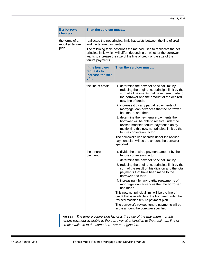| If a borrower<br>changes                                                                  | Then the servicer must                                    |                                                                                                                                                                                                                                                                                                                                                                                                                                                                                                                                                                                                                                                        |
|-------------------------------------------------------------------------------------------|-----------------------------------------------------------|--------------------------------------------------------------------------------------------------------------------------------------------------------------------------------------------------------------------------------------------------------------------------------------------------------------------------------------------------------------------------------------------------------------------------------------------------------------------------------------------------------------------------------------------------------------------------------------------------------------------------------------------------------|
| the terms of a<br>modified tenure<br>and the tenure payments.<br>plan<br>tenure payments. |                                                           | reallocate the net principal limit that exists between the line of credit<br>The following table describes the method used to reallocate the net<br>principal limit, which will differ, depending on whether the borrower<br>wants to increase the size of the line of credit or the size of the                                                                                                                                                                                                                                                                                                                                                       |
|                                                                                           | If the borrower<br>requests to<br>increase the size<br>of | Then the servicer must                                                                                                                                                                                                                                                                                                                                                                                                                                                                                                                                                                                                                                 |
|                                                                                           | the line of credit                                        | 1. determine the new net principal limit by<br>reducing the original net principal limit by the<br>sum of all payments that have been made to<br>the borrower and the amount of the desired<br>new line of credit,<br>2. increase it by any partial repayments of                                                                                                                                                                                                                                                                                                                                                                                      |
|                                                                                           |                                                           | mortgage loan advances that the borrower<br>has made, and then<br>3. determine the new tenure payments the<br>borrower will be able to receive under the<br>revised modified tenure payment plan by<br>multiplying this new net principal limit by the<br>tenure conversion factor.                                                                                                                                                                                                                                                                                                                                                                    |
|                                                                                           |                                                           | The borrower's line of credit under the revised<br>payment plan will be the amount the borrower<br>specified.                                                                                                                                                                                                                                                                                                                                                                                                                                                                                                                                          |
|                                                                                           | the tenure<br>payment                                     | 1. divide the desired payment amount by the<br>tenure conversion factor,<br>2. determine the new net principal limit by<br>3. reducing the original net principal limit by the<br>sum of the result of this division and the total<br>payments that have been made to the<br>borrower and then<br>4. increasing it by any partial repayments of<br>mortgage loan advances that the borrower<br>has made.<br>This new net principal limit will be the line of<br>credit that is available to the borrower under the<br>revised modified tenure payment plan.<br>The borrower's revised tenure payments will be<br>in the amount the borrower specified. |

NOTE: *The tenure conversion factor is the ratio of the maximum monthly*  tenure payment available to the borrower at origination to the maximum line of *credit available to the same borrower at origination.*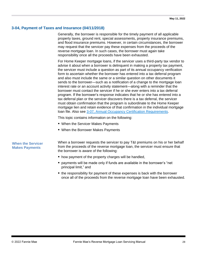#### <span id="page-27-0"></span>**3-04, Payment of Taxes and Insurance (04/11/2018)**

Generally, the borrower is responsible for the timely payment of all applicable property taxes, ground rent, special assessments, property insurance premiums, and flood insurance premiums. However, in certain circumstances, the borrower may request that the servicer pay these expenses from the proceeds of the reverse mortgage loan. In such cases, the borrower must again take responsibility once all the proceeds have been exhausted.

For Home Keeper mortgage loans, if the servicer uses a third-party tax vendor to advise it about when a borrower is delinquent in making a property tax payment, the servicer must include a question as part of its annual occupancy verification form to ascertain whether the borrower has entered into a tax deferral program and also must include the same or a similar question on other documents it sends to the borrower—such as a notification of a change to the mortgage loan interest rate or an account activity statement—along with a reminder that the borrower must contact the servicer if he or she ever enters into a tax deferral program. If the borrower's response indicates that he or she has entered into a tax deferral plan or the servicer discovers there is a tax deferral, the servicer must obtain confirmation that the program is subordinate to the Home Keeper mortgage lien and retain evidence of that confirmation in the individual mortgage loan file. Also see [3-07, Annual Occupancy Certification Requirements.](#page-35-0)

This topic contains information on the following:

- When the Servicer Makes Payments
- When the Borrower Makes Payments

#### **When the Servicer Makes Payments**

When a borrower requests the servicer to pay T&I premiums on his or her behalf from the proceeds of the reverse mortgage loan, the servicer must ensure that the borrower is aware of the following:

- how payment of the property charges will be handled,
- payments will be made only if funds are available in the borrower's "net principal limit," and
- the responsibility for payment of these expenses is back with the borrower once all of the proceeds from the reverse mortgage loan have been exhausted.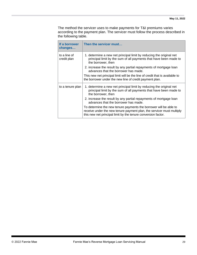The method the servicer uses to make payments for T&I premiums varies according to the payment plan. The servicer must follow the process described in the following table.

| If a borrower<br>changes                                                                                  | Then the servicer must                                                                                                                                                                                      |  |
|-----------------------------------------------------------------------------------------------------------|-------------------------------------------------------------------------------------------------------------------------------------------------------------------------------------------------------------|--|
| to a line of<br>credit plan                                                                               | 1. determine a new net principal limit by reducing the original net<br>principal limit by the sum of all payments that have been made to<br>the borrower, then                                              |  |
|                                                                                                           | 2. increase the result by any partial repayments of mortgage loan<br>advances that the borrower has made.                                                                                                   |  |
|                                                                                                           | This new net principal limit will be the line of credit that is available to<br>the borrower under the new line of credit payment plan.                                                                     |  |
| to a tenure plan                                                                                          | 1. determine a new net principal limit by reducing the original net<br>principal limit by the sum of all payments that have been made to<br>the borrower, then                                              |  |
| 2. increase the result by any partial repayments of mortgage loan<br>advances that the borrower has made. |                                                                                                                                                                                                             |  |
|                                                                                                           | To determine the new tenure payments the borrower will be able to<br>receive under the new tenure payment plan, the servicer must multiply<br>this new net principal limit by the tenure conversion factor. |  |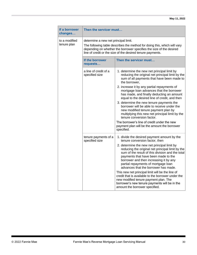| If a borrower<br>changes     | Then the servicer must                                                                                                                                                                                                                                |                                                                                                                                                                                                                                                                                                                                                                                                                                                                                                                                                                                                                                            |
|------------------------------|-------------------------------------------------------------------------------------------------------------------------------------------------------------------------------------------------------------------------------------------------------|--------------------------------------------------------------------------------------------------------------------------------------------------------------------------------------------------------------------------------------------------------------------------------------------------------------------------------------------------------------------------------------------------------------------------------------------------------------------------------------------------------------------------------------------------------------------------------------------------------------------------------------------|
| to a modified<br>tenure plan | determine a new net principal limit.<br>The following table describes the method for doing this, which will vary<br>depending on whether the borrower specifies the size of the desired<br>line of credit or the size of the desired tenure payments. |                                                                                                                                                                                                                                                                                                                                                                                                                                                                                                                                                                                                                                            |
|                              | If the borrower<br>requests                                                                                                                                                                                                                           | Then the servicer must                                                                                                                                                                                                                                                                                                                                                                                                                                                                                                                                                                                                                     |
|                              | a line of credit of a<br>specified size                                                                                                                                                                                                               | 1. determine the new net principal limit by<br>reducing the original net principal limit by the<br>sum of all payments that have been made to<br>the borrower,                                                                                                                                                                                                                                                                                                                                                                                                                                                                             |
|                              |                                                                                                                                                                                                                                                       | 2. increase it by any partial repayments of<br>mortgage loan advances that the borrower<br>has made, and finally deducting an amount<br>equal to the desired line of credit, and then                                                                                                                                                                                                                                                                                                                                                                                                                                                      |
|                              |                                                                                                                                                                                                                                                       | 3. determine the new tenure payments the<br>borrower will be able to receive under the<br>new modified tenure payment plan by<br>multiplying this new net principal limit by the<br>tenure conversion factor.                                                                                                                                                                                                                                                                                                                                                                                                                              |
|                              |                                                                                                                                                                                                                                                       | The borrower's line of credit under the new<br>payment plan will be the amount the borrower<br>specified.                                                                                                                                                                                                                                                                                                                                                                                                                                                                                                                                  |
|                              | tenure payments of a<br>specified size                                                                                                                                                                                                                | 1. divide the desired payment amount by the<br>tenure conversion factor, then<br>2. determine the new net principal limit by<br>reducing the original net principal limit by the<br>sum of the result of this division and the total<br>payments that have been made to the<br>borrower and then increasing it by any<br>partial repayments of mortgage loan<br>advances that the borrower has made.<br>This new net principal limit will be the line of<br>credit that is available to the borrower under the<br>new modified tenure payment plan. The<br>borrower's new tenure payments will be in the<br>amount the borrower specified. |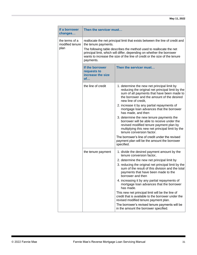| If a borrower<br>changes                  | Then the servicer must<br>reallocate the net principal limit that exists between the line of credit and<br>the tenure payments.<br>The following table describes the method used to reallocate the net<br>principal limit, which will differ, depending on whether the borrower<br>wants to increase the size of the line of credit or the size of the tenure<br>payments. |                                                                                                                                                                                                                    |
|-------------------------------------------|----------------------------------------------------------------------------------------------------------------------------------------------------------------------------------------------------------------------------------------------------------------------------------------------------------------------------------------------------------------------------|--------------------------------------------------------------------------------------------------------------------------------------------------------------------------------------------------------------------|
| the terms of a<br>modified tenure<br>plan |                                                                                                                                                                                                                                                                                                                                                                            |                                                                                                                                                                                                                    |
|                                           | If the borrower<br>requests to<br>increase the size<br>of                                                                                                                                                                                                                                                                                                                  | Then the servicer must                                                                                                                                                                                             |
|                                           | the line of credit                                                                                                                                                                                                                                                                                                                                                         | 1. determine the new net principal limit by<br>reducing the original net principal limit by the<br>sum of all payments that have been made to<br>the borrower and the amount of the desired<br>new line of credit, |
|                                           |                                                                                                                                                                                                                                                                                                                                                                            | 2. increase it by any partial repayments of<br>mortgage loan advances that the borrower<br>has made, and then                                                                                                      |
|                                           |                                                                                                                                                                                                                                                                                                                                                                            | 3. determine the new tenure payments the<br>borrower will be able to receive under the<br>revised modified tenure payment plan by<br>multiplying this new net principal limit by the<br>tenure conversion factor.  |
|                                           |                                                                                                                                                                                                                                                                                                                                                                            | The borrower's line of credit under the revised<br>payment plan will be the amount the borrower<br>specified.                                                                                                      |
|                                           | the tenure payment                                                                                                                                                                                                                                                                                                                                                         | 1. divide the desired payment amount by the<br>tenure conversion factor,                                                                                                                                           |
|                                           |                                                                                                                                                                                                                                                                                                                                                                            | 2. determine the new net principal limit by<br>3. reducing the original net principal limit by the<br>sum of the result of this division and the total<br>payments that have been made to the<br>borrower and then |
|                                           |                                                                                                                                                                                                                                                                                                                                                                            | 4. increasing it by any partial repayments of<br>mortgage loan advances that the borrower<br>has made.                                                                                                             |
|                                           |                                                                                                                                                                                                                                                                                                                                                                            | This new net principal limit will be the line of<br>credit that is available to the borrower under the<br>revised modified tenure payment plan.                                                                    |
|                                           |                                                                                                                                                                                                                                                                                                                                                                            | The borrower's revised tenure payments will be<br>in the amount the borrower specified.                                                                                                                            |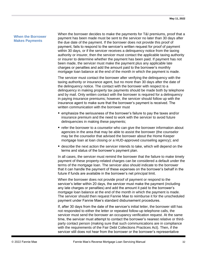#### **When the Borrower Makes Payments**

When the borrower decides to make the payments for T&I premiums, proof that a payment has been made must be sent to the servicer no later than 30 days after the due date of the payment. If the borrower does not provide this proof of payment, fails to respond to the servicer's written request for proof of payment within 30 days, or if the servicer receives a delinquency notice from the taxing authority or insurer, then the servicer must contact the applicable taxing authority or insurer to determine whether the payment has been paid. If payment has not been made, the servicer must make the payment plus any applicable late charges or penalties and add the amount paid to the borrower's monthly mortgage loan balance at the end of the month in which the payment is made.

The servicer must contact the borrower after verifying the delinquency with the taxing authority or insurance agent, but no more than 30 days after the date of the delinquency notice. The contact with the borrower with respect to a delinquency in making property tax payments should be made both by telephone and by mail. Only written contact with the borrower is required for a delinquency in paying insurance premiums; however, the servicer should follow up with the insurance agent to make sure that the borrower's payment is received. The written communication with the borrower must

- emphasize the seriousness of the borrower's failure to pay the taxes and/or insurance premium and the need to work with the servicer to avoid future delinquencies in making these payments;
- refer the borrower to a counselor who can give the borrower information about agencies in the area that may be able to assist the borrower (the counselor may be the counselor that advised the borrower about the Home Keeper mortgage loan at loan closing or a HUD-approved counseling agency); and
- describe the next action the servicer intends to take, which will depend on the terms and status of the borrower's payment plan.

In all cases, the servicer must remind the borrower that the failure to make timely payment of these property-related charges can be considered a default under the terms of the mortgage loan. The servicer also should indicate to the borrower that it can handle the payment of these expenses on the borrower's behalf in the future if funds are available in the borrower's net principal limit.

When the borrower does not provide proof of payment or respond to the servicer's letter within 20 days, the servicer must make the payment (including any late charges or penalties) and add the amount it paid to the borrower's mortgage loan balance at the end of the month in which the payment is made. The servicer should then request Fannie Mae to reimburse it for the unscheduled payment under Fannie Mae's standard disbursement procedures.

If, after 30 days from the date of the servicer's initial letter, the borrower still has not responded to either the letter or repeated follow-up telephone calls, the servicer must send the borrower an occupancy verification request. At the same time, the servicer must attempt to contact the borrower's nearest relative or thirdparty contact person (making sure that such communications are in compliance with the requirements of the Fair Debt Collections Practices Act). Then, if the servicer still does not hear from the borrower or the borrower's representative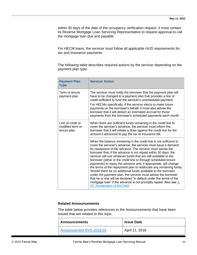within 30 days of the date of the occupancy verification request, it must contact its Reverse Mortgage Loan Servicing Representative to request approval to call the mortgage loan due and payable.

For HECM loans, the servicer must follow all applicable HUD requirements for tax and insurance payments.

The following table describes required actions by the servicer depending on the payment plan type.

| <b>Payment Plan</b><br><b>Type</b>                   | <b>Servicer Action</b>                                                                                                                                                                                                                                                                                                                                                                                                                                                                                                                                                                                                                                                                                                                                                                                                                                              |  |
|------------------------------------------------------|---------------------------------------------------------------------------------------------------------------------------------------------------------------------------------------------------------------------------------------------------------------------------------------------------------------------------------------------------------------------------------------------------------------------------------------------------------------------------------------------------------------------------------------------------------------------------------------------------------------------------------------------------------------------------------------------------------------------------------------------------------------------------------------------------------------------------------------------------------------------|--|
| Term or tenure<br>payment plan                       | The servicer must notify the borrower that the payment plan will<br>have to be changed to a payment plan that provides a line of<br>credit sufficient to fund the servicer's unscheduled payment.<br>For HECMs specifically, if the servicer elects to make future<br>payments on the borrower's behalf, it must also advise the<br>borrower that it will deduct an estimated accrual for those<br>payments from the borrower's scheduled payments each month.                                                                                                                                                                                                                                                                                                                                                                                                      |  |
| Line of credit or<br>modified term or<br>tenure plan | When there are sufficient funds remaining in the credit line to<br>cover the servicer's advance, the servicer must inform the<br>borrower that it will initiate a draw against the credit line for the<br>amount it advanced to pay the tax or insurance bill.                                                                                                                                                                                                                                                                                                                                                                                                                                                                                                                                                                                                      |  |
|                                                      | When the balance remaining in the credit line is not sufficient to<br>cover the servicer's advance, the servicer must issue a demand<br>for repayment of the advance. The servicer must advise the<br>borrower that, if the advance is not repaid within 30 days, the<br>servicer will use whatever funds that are still available to the<br>borrower (either in the credit line or through scheduled tenure<br>payments) to repay the advance and, if appropriate, will change<br>the terms of the repayment plan to reallocate any remaining funds.<br>Should there be no additional funds available to the borrower<br>under the payment plan, the servicer must advise the borrower<br>that he or she will be declared "in default under the terms of the<br>mortgage loan" if the advance is not promptly repaid. Also see 4-<br>02, Acceleration of the Debt. |  |

#### <span id="page-32-0"></span>**Related Announcements**

The table below provides references to the Announcements that have been issued that are related to this topic.

| <b>Announcements</b>     | <b>Issue Date</b> |
|--------------------------|-------------------|
| Announcement RVS-2018-01 | April 11, 2018    |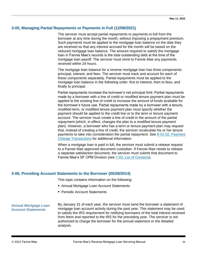#### **3-05, Managing Partial Repayments or Payments in Full (12/08/2021)**

The servicer must accept partial repayments or payments-in-full from the borrower at any time during the month, without imposing a prepayment premium. Such payments must be applied to the mortgage loan balance on the date they are received so that any interest accrued for the month will be based on the reduced mortgage loan balance. The amount required to satisfy the mortgage loan in Fannie Mae's records is the total outstanding debt at the time of the mortgage loan payoff. The servicer must remit to Fannie Mae any payments received within 24 hours.

The mortgage loan balance for a reverse mortgage loan has three components: principal, interest, and fees. The servicer must track and account for each of these components separately. Partial repayments must be applied to the mortgage loan balance in the following order: first to interest, then to fees, and finally to principal.

Partial repayments increase the borrower's net principal limit. Partial repayments made by a borrower with a line of credit or modified tenure payment plan must be applied to the existing line of credit to increase the amount of funds available for the borrower's future use. Partial repayments made by a borrower with a tenure, modified term, or modified tenure payment plan must specify whether the payment should be applied to the credit line or to the term or tenure payment account. The servicer must create a line of credit in the amount of the partial repayment (which, in effect, changes the plan to a modified tenure payment plan). However, a borrower who has a term or tenure payment plan may request that, instead of creating a line of credit, the servicer recalculate his or her tenure payments to take into consideration the partial repayment. See [6-01-02, Payment](#page-60-0)  [Change Transactions](#page-60-0) for additional information.

When a mortgage loan is paid in full, the servicer must submit a release request to a Fannie Mae approved document custodian. If Fannie Mae needs to release a separate satisfaction document, the servicer must submit that document to Fannie Mae's SF CPM Division (see [7-03, List of Contacts\)](#page-82-0).

#### <span id="page-33-0"></span>**3-06, Providing Account Statements to the Borrower (05/28/2014)**

This topic contains information on the following:

- Annual Mortgage Loan Account Statements
- Periodic Account Statements

#### **Annual Mortgage Loan Account Statements**

By January 31 of each year, the servicer must send the borrower a statement of mortgage loan account activity during the past year. This statement may be used to satisfy the IRS requirement for notifying borrowers of the total interest received from them and reported to the IRS for the preceding year. The servicer is not authorized to charge the borrower for the annual statement or the detailed analysis.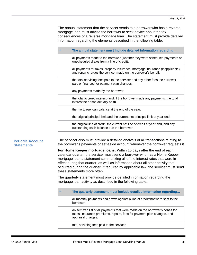The annual statement that the servicer sends to a borrower who has a reverse mortgage loan must advise the borrower to seek advice about the tax consequences of a reverse mortgage loan. The statement must provide detailed information regarding the elements described in the following table.

| ✓ | The annual statement must include detailed information regarding                                                                                  |
|---|---------------------------------------------------------------------------------------------------------------------------------------------------|
|   | all payments made to the borrower (whether they were scheduled payments or<br>unscheduled draws from a line of credit).                           |
|   | all payments for taxes, property insurance, mortgage insurance (if applicable),<br>and repair charges the servicer made on the borrower's behalf. |
|   | the total servicing fees paid to the servicer and any other fees the borrower<br>paid or financed for payment plan changes.                       |
|   | any payments made by the borrower.                                                                                                                |
|   | the total accrued interest (and, if the borrower made any payments, the total<br>interest he or she actually paid).                               |
|   | the mortgage loan balance at the end of the year.                                                                                                 |
|   | the original principal limit and the current net principal limit at year-end.                                                                     |
|   | the original line of credit, the current net line of credit at year-end, and any<br>outstanding cash balance due the borrower.                    |

#### **Periodic Account Statements**

The servicer also must provide a detailed analysis of all transactions relating to the borrower's payments or set-aside account whenever the borrower requests it.

**For Home Keeper mortgage loans:** Within 15 days after the end of each calendar quarter, the servicer must send a borrower who has a Home Keeper mortgage loan a statement summarizing all of the interest rates that were in effect during that quarter, as well as information about all other activity that occurred during the quarter. If required by applicable law, the servicer must send these statements more often.

The quarterly statement must provide detailed information regarding the mortgage loan activity as described in the following table.

| The quarterly statement must include detailed information regarding                                                                                                          |
|------------------------------------------------------------------------------------------------------------------------------------------------------------------------------|
| all monthly payments and draws against a line of credit that were sent to the<br>borrower.                                                                                   |
| an itemized list of all payments that were made on the borrower's behalf for<br>taxes, insurance premiums, repairs, fees for payment plan changes, and<br>appraisal charges. |
| total servicing fees paid to the servicer.                                                                                                                                   |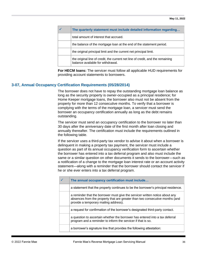| The quarterly statement must include detailed information regarding                                                 |
|---------------------------------------------------------------------------------------------------------------------|
| total amount of interest that accrued.                                                                              |
| the balance of the mortgage loan at the end of the statement period.                                                |
| the original principal limit and the current net principal limit.                                                   |
| the original line of credit, the current net line of credit, and the remaining<br>balance available for withdrawal. |

**For HECM loans:** The servicer must follow all applicable HUD requirements for providing account statements to borrowers.

#### <span id="page-35-0"></span>**3-07, Annual Occupancy Certification Requirements (05/28/2014)**

The borrower does not have to repay the outstanding mortgage loan balance as long as the security property is owner-occupied as a principal residence; for Home Keeper mortgage loans, the borrower also must not be absent from the property for more than 12 consecutive months. To verify that a borrower is complying with the terms of the mortgage loan, a servicer must send the borrower an occupancy certification annually as long as the debt remains outstanding.

The servicer must send an occupancy certification to the borrower no later than 30 days after the anniversary date of the first month after loan closing and annually thereafter. The certification must include the requirements outlined in the following table.

If the servicer uses a third-party tax vendor to advise it about when a borrower is delinquent in making a property tax payment, the servicer must include a question as part of its annual occupancy verification form to ascertain whether the borrower has entered into a tax deferral program and also must include the same or a similar question on other documents it sends to the borrower—such as a notification of a change to the mortgage loan interest rate or an account activity statement—along with a reminder that the borrower should contact the servicer if he or she ever enters into a tax deferral program.

| The annual occupancy certification must include                                                                                                                                                       |
|-------------------------------------------------------------------------------------------------------------------------------------------------------------------------------------------------------|
| a statement that the property continues to be the borrower's principal residence.                                                                                                                     |
| a reminder that the borrower must give the servicer written notice about any<br>absences from the property that are greater than two consecutive months (and<br>provide a temporary mailing address). |
| a request for confirmation of the borrower's designated third-party contact.                                                                                                                          |
| a question to ascertain whether the borrower has entered into a tax deferral<br>program and a reminder to inform the servicer if that is so.                                                          |
| a borrower's signature line that provides the following attestation:                                                                                                                                  |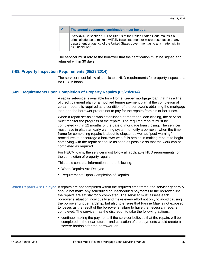|  | The annual occupancy certification must include                                                                                                                                                                                                                   |
|--|-------------------------------------------------------------------------------------------------------------------------------------------------------------------------------------------------------------------------------------------------------------------|
|  | "WARNING: Section 1001 of Title 18 of the United States Code makes it a<br>criminal offense to make a willfully false statement or misrepresentation to any<br>department or agency of the United States government as to any matter within<br>its jurisdiction." |

The servicer must advise the borrower that the certification must be signed and returned within 30 days.

### **3-08, Property Inspection Requirements (05/28/2014)**

The servicer must follow all applicable HUD requirements for property inspections for HECM loans.

### **3-09, Requirements upon Completion of Property Repairs (05/28/2014)**

A repair set-aside is available for a Home Keeper mortgage loan that has a line of credit payment plan or a modified tenure payment plan, if the completion of certain repairs is required as a condition of the borrower's obtaining the mortgage loan and the borrower prefers not to pay for the repairs from his or her funds.

When a repair set-aside was established at mortgage loan closing, the servicer must monitor the progress of the repairs. The required repairs must be completed within 12 months of the date of mortgage loan closing. The servicer must have in place an early warning system to notify a borrower when the time frame for completing repairs is about to elapse, as well as "post-warning" procedures to encourage a borrower who falls behind in making repairs to begin complying with the repair schedule as soon as possible so that the work can be completed as required.

For HECM loans, the servicer must follow all applicable HUD requirements for the completion of property repairs.

This topic contains information on the following:

- When Repairs Are Delayed
- Requirements Upon Completion of Repairs
- **When Repairs Are Delayed** If repairs are not completed within the required time frame, the servicer generally should not make any scheduled or unscheduled payments to the borrower until the repairs are satisfactorily completed. The servicer must assess each borrower's situation individually and make every effort not only to avoid causing the borrower undue hardship, but also to ensure that Fannie Mae is not exposed to losses as the result of the borrower's failure to have the necessary repairs completed. The servicer has the discretion to take the following actions:
	- continue making the payments if the servicer believes that the repairs will be completed in the near future—and cessation of the payments would create a severe hardship for the borrower, or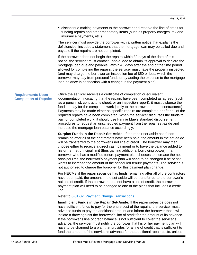■ discontinue making payments to the borrower and reserve the line of credit for funding repairs and other mandatory items (such as property charges, tax and insurance payments, etc.).

The servicer must provide the borrower with a written notice that explains the deficiencies, includes a statement that the mortgage loan may be called due and payable if the repairs are not completed.

If the borrower does not begin the repairs within 30 days of the date of this notice, the servicer must contact Fannie Mae to obtain its approval to declare the mortgage loan due and payable. Within 45 days after the end of the time period allowed for completing the repairs, the servicer must have the property inspected (and may charge the borrower an inspection fee of \$50 or less, which the borrower may pay from personal funds or by adding the expense to the mortgage loan balance in connection with a change in the payment plan).

### **Requirements Upon Completion of Repairs**

Once the servicer receives a certificate of completion or equivalent documentation indicating that the repairs have been completed as agreed (such as a punch list, contractor's sheet, or an inspection report), it must disburse the funds to pay for the completed work jointly to the borrower and the contractor(s). Payments may be made either as specific repairs are completed or after all of the required repairs have been completed. When the servicer disburses the funds to pay for completed work, it should use Fannie Mae's standard disbursement procedures to request an unscheduled payment from the repair set-aside and increase the mortgage loan balance accordingly.

**Surplus Funds in the Repair Set-Aside:** If the repair set-aside has funds remaining after all of the contractors have been paid, the amount in the set-aside will be transferred to the borrower's net line of credit. The borrower may then choose either to receive a direct cash payment or to have the balance added to his or her net principal limit (thus gaining additional borrowing power). If a borrower who has a modified tenure payment plan chooses to increase the net principal limit, the borrower's payment plan will need to be changed if he or she wants to increase the amount of the scheduled tenure payments. The servicer is not authorized to charge the borrower for this payment plan change.

For HECMs, if the repair set-aside has funds remaining after all of the contractors have been paid, the amount in the set-aside will be transferred to the borrower's net line of credit. If the borrower does not have a line of credit, the borrower's payment plan will need to be changed to one of the plans that includes a credit line.

#### Refer to [6-01-02, Payment Change Transactions.](#page-60-0)

**Insufficient Funds in the Repair Set-Aside:** If the repair set-aside does not have sufficient funds to pay for the entire cost of the repairs, the servicer must advance funds to pay the additional amount and inform the borrower that it will initiate a draw against the borrower's line of credit for the amount of its advance. If the borrower's line of credit balance is not sufficient to cover the servicer's advance, the servicer must notify the borrower that his or her payment plan will have to be changed to a plan that provides for a line of credit that is sufficient to fund the amount of the servicer's advance for the additional repair costs, unless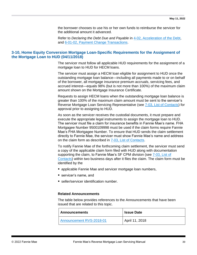the borrower chooses to use his or her own funds to reimburse the servicer for the additional amount it advanced.

Refer to *Declaring the Debt Due and Payable* in [4-02, Acceleration of the Debt,](#page-40-0) and [6-01-02, Payment Change Transactions.](#page-60-0)

# **3-10, Home Equity Conversion Mortgage Loan-Specific Requirements for the Assignment of the Mortgage Loan to HUD (04/11/2018)**

The servicer must follow all applicable HUD requirements for the assignment of a mortgage loan to HUD for HECM loans.

The servicer must assign a HECM loan eligible for assignment to HUD once the outstanding mortgage loan balance—including all payments made to or on behalf of the borrower, all mortgage insurance premium accruals, servicing fees, and accrued interest—equals 98% (but is not more than 100%) of the maximum claim amount shown on the Mortgage Insurance Certificate.

Requests to assign HECM loans when the outstanding mortgage loan balance is greater than 100% of the maximum claim amount must be sent to the servicer's Reverse Mortgage Loan Servicing Representative (see [7-03, List of Contacts\)](#page-82-0) for approval prior to assigning to HUD.

As soon as the servicer receives the custodial documents, it must prepare and execute the appropriate legal instruments to assign the mortgage loan to HUD. The servicer must file a claim for insurance benefits in Fannie Mae's name. FHA Mortgagee Number 9500109998 must be used if the claim forms require Fannie Mae's FHA Mortgagee Number. To ensure that HUD sends the claim settlement directly to Fannie Mae, the servicer must show Fannie Mae's name and address on the claim form as described in [7-03, List of Contacts.](#page-82-0)

To notify Fannie Mae of the forthcoming claim settlement, the servicer must send a copy of the applicable claim form filed with HUD along with documentation supporting the claim, to Fannie Mae's SF CPM division (see [7-03, List of](#page-82-0)  [Contacts\)](#page-82-0) within two business days after it files the claim. The claim form must be identified by the

- applicable Fannie Mae and servicer mortgage loan numbers,
- servicer's name, and
- seller/servicer identification number.

#### **Related Announcements**

The table below provides references to the Announcements that have been issued that are related to this topic.

| <b>Announcements</b>     | <b>Issue Date</b> |
|--------------------------|-------------------|
| Announcement RVS-2018-01 | April 11, 2018    |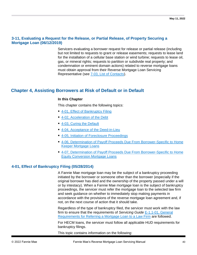# **3-11, Evaluating a Request for the Release, or Partial Release, of Property Securing a Mortgage Loan (06/12/2019)**

Servicers evaluating a borrower request for release or partial release (including but not limited to requests to grant or release easements; requests to lease land for the installation of a cellular base station or wind turbine; requests to lease oil, gas, or mineral rights; requests to partition or subdivide real property; and condemnation or eminent domain actions) related to reverse mortgage loans must obtain approval from their Reverse Mortgage Loan Servicing Representative (see [7-03, List of Contacts\)](#page-82-0).

# **Chapter 4, Assisting Borrowers at Risk of Default or in Default**

### **In this Chapter**

This chapter contains the following topics:

- [4-01, Effect of Bankruptcy Filing](#page-39-0)
- [4-02, Acceleration of the Debt](#page-40-0)
- 4-03, Curing the Default
- [4-04, Acceptance of the Deed-in-Lieu](#page-43-0)
- [4-05, Initiation of Foreclosure Proceedings](#page-44-0)
- [4-06, Determination of Payoff Proceeds Due From Borrower-Specific to Home](#page-46-0)  [Keeper Mortgage Loans](#page-46-0)
- 4-07. Determination of Payoff Proceeds Due From Borrower-Specific to Home [Equity Conversion Mortgage Loans](#page-47-0)

# <span id="page-39-0"></span>**4-01, Effect of Bankruptcy Filing (05/28/2014)**

A Fannie Mae mortgage loan may be the subject of a bankruptcy proceeding initiated by the borrower or someone other than the borrower (especially if the original borrower has died and the ownership of the property passed under a will or by intestacy). When a Fannie Mae mortgage loan is the subject of bankruptcy proceedings, the servicer must refer the mortgage loan to the selected law firm and seek guidance on whether to immediately stop making payments in accordance with the provisions of the reverse mortgage loan agreement and, if not, on the next course of action that it should take.

Regardless of the type of bankruptcy filed, the servicer must work with the law firm to ensure that the requirements of *Servicing Guide* [E-1.1-01, General](https://www.fanniemae.com/content/guide/servicing/e/1.1/01.html)  [Requirements for Referring a Mortgage Loan to a Law Firm](https://www.fanniemae.com/content/guide/servicing/e/1.1/01.html) are followed.

For HECM loans, the servicer must follow all applicable HUD requirements for bankruptcy filings.

This topic contains information on the following: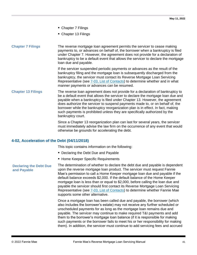- Chapter 7 Filings
- Chapter 13 Filings

### **Chapter 7 Filings** The reverse mortgage loan agreement permits the servicer to cease making payments to, or advances on behalf of, the borrower when a bankruptcy is filed under Chapter 7. However, the agreement does not provide for a declaration of bankruptcy to be a default event that allows the servicer to declare the mortgage loan due and payable.

If the servicer suspended periodic payments or advances as the result of the bankruptcy filing and the mortgage loan is subsequently discharged from the bankruptcy, the servicer must contact its Reverse Mortgage Loan Servicing Representative (see [7-03, List of Contacts\)](#page-82-0) to determine whether and in what manner payments or advances can be resumed.

### **Chapter 13 Filings** The reverse loan agreement does not provide for a declaration of bankruptcy to be a default event that allows the servicer to declare the mortgage loan due and payable when a bankruptcy is filed under Chapter 13. However, the agreement does authorize the servicer to suspend payments made to, or on behalf of, the borrower while the bankruptcy reorganization plan is in effect. In fact, making such payments is prohibited unless they are specifically authorized by the bankruptcy court.

Since a Chapter 13 reorganization plan can last for several years, the servicer must immediately advise the law firm on the occurrence of any event that would otherwise be grounds for accelerating the debt.

# <span id="page-40-0"></span>**4-02, Acceleration of the Debt (04/11/2018)**

This topic contains information on the following:

- Declaring the Debt Due and Payable
- **E** Home Keeper Specific Requirements

### **Declaring the Debt Due and Payable**

The determination of whether to declare the debt due and payable is dependent upon the reverse mortgage loan product. The servicer must request Fannie Mae's permission to call a Home Keeper mortgage loan due and payable if the default balance exceeds \$2,000. If the default balance of the Home Keeper mortgage loan is less than or equal to \$2,000, before calling the loan due and payable the servicer should first contact its Reverse Mortgage Loan Servicing Representative (see  $7-03$ , List of Contacts) to determine whether Fannie Mae supports some other alternative.

Once a mortgage loan has been called due and payable, the borrower (which also includes the borrower's estate) may not receive any further scheduled or unscheduled payments for as long as the mortgage loan remains due and payable. The servicer may continue to make required T&I payments and add them to the borrower's mortgage loan balance (if it is responsible for making such payments or the borrower fails to meet his or her responsibility for making them). In addition, the servicer must continue to add servicing fees and accrued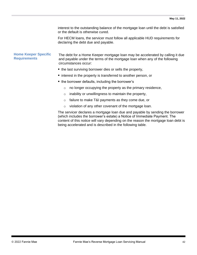interest to the outstanding balance of the mortgage loan until the debt is satisfied or the default is otherwise cured.

For HECM loans, the servicer must follow all applicable HUD requirements for declaring the debt due and payable.

## **Home Keeper Specific Requirements**

The debt for a Home Keeper mortgage loan may be accelerated by calling it due and payable under the terms of the mortgage loan when any of the following circumstances occur:

- the last surviving borrower dies or sells the property,
- interest in the property is transferred to another person, or
- the borrower defaults, including the borrower's
	- $\circ$  no longer occupying the property as the primary residence,
	- $\circ$  inability or unwillingness to maintain the property,
	- o failure to make T&I payments as they come due, or
	- o violation of any other covenant of the mortgage loan.

The servicer declares a mortgage loan due and payable by sending the borrower (which includes the borrower's estate) a Notice of Immediate Payment. The content of this notice will vary depending on the reason the mortgage loan debt is being accelerated and is described in the following table.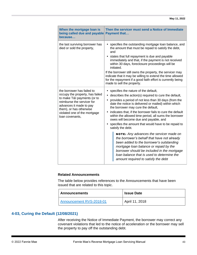| When the mortgage loan is<br>being called due and payable<br>because                                                                                                                                                                | Then the servicer must send a Notice of Immediate<br>Payment that                                                                                                                                                                                                                                                                                                                                                                                                                                                                                                                                                                                                                                                                                                                                                                       |
|-------------------------------------------------------------------------------------------------------------------------------------------------------------------------------------------------------------------------------------|-----------------------------------------------------------------------------------------------------------------------------------------------------------------------------------------------------------------------------------------------------------------------------------------------------------------------------------------------------------------------------------------------------------------------------------------------------------------------------------------------------------------------------------------------------------------------------------------------------------------------------------------------------------------------------------------------------------------------------------------------------------------------------------------------------------------------------------------|
| the last surviving borrower has<br>died or sold the property,                                                                                                                                                                       | specifies the outstanding mortgage loan balance, and<br>the amount that must be repaid to satisfy the debt,<br>and<br>• states that full repayment is due and payable<br>immediately and that, if the payment is not received<br>within 30 days, foreclosure proceedings will be<br>initiated.<br>If the borrower still owns the property, the servicer may<br>indicate that it may be willing to extend the time allowed<br>for the repayment if a good faith effort is currently being<br>made to sell the property.                                                                                                                                                                                                                                                                                                                  |
| the borrower has failed to<br>occupy the property, has failed<br>to make T&I payments (or to<br>reimburse the servicer for<br>advances it made to pay<br>them), or has otherwise<br>violated one of the mortgage<br>loan covenants, | specifies the nature of the default,<br>$\bullet$<br>describes the action(s) required to cure the default,<br>provides a period of not less than 30 days (from the<br>date the notice is delivered or mailed) within which<br>the borrower may cure the default,<br>indicates that, if the borrower fails to cure the default<br>within the allowed time period, all sums the borrower<br>owes will become due and payable, and<br>specifies the amount that would have to be repaid to<br>satisfy the debt.<br><b>NOTE:</b> Any advances the servicer made on<br>the borrower's behalf that have not already<br>been added to the borrower's outstanding<br>mortgage loan balance or repaid by the<br>borrower should be included in the mortgage<br>loan balance that is used to determine the<br>amount required to satisfy the debt |

#### **Related Announcements**

The table below provides references to the Announcements that have been issued that are related to this topic.

| Announcements            | <b>Issue Date</b> |
|--------------------------|-------------------|
| Announcement RVS-2018-01 | April 11, 2018    |

# **4-03, Curing the Default (12/08/2021)**

After receiving the Notice of Immediate Payment, the borrower may correct any covenant violations that led to the notice of acceleration or the borrower may sell the property to pay off the outstanding debt.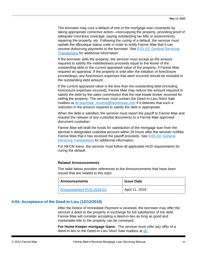The borrower may cure a default of one of the mortgage loan covenants by taking appropriate corrective action—reoccupying the property, providing proof of adequate insurance coverage, paying outstanding tax bills or assessments, repairing the property, etc. Following the curing of a default, the servicer must update the eBoutique status code in order to notify Fannie Mae that it can resume disbursing payments to the borrower. See [6-01-03, General Servicing](#page-62-0)  [Transactions](#page-62-0) for additional information.

If the borrower sells the property, the servicer must accept as the amount required to satisfy the indebtedness proceeds equal to the lesser of the outstanding debt or the current appraised value of the property, if Fannie Mae required an appraisal. If the property is sold after the initiation of foreclosure proceedings, any foreclosure expenses that were incurred should be included in the outstanding debt amount.

If the current appraised value is the less than the outstanding debt (including foreclosure expenses incurred), Fannie Mae may reduce the amount required to satisfy the debt by the sales commission that the real estate broker received for selling the property. The servicer must contact the Deed-In-Lieu Short Sale mailbox at dil-shortsale reverse@fanniemae.com if it believes that such a reduction in the amount required to satisfy the debt is appropriate.

When the debt is satisfied, the servicer must report the payoff to Fannie Mae and request the release of any custodial documents to a Fannie Mae approved document custodian.

Fannie Mae will draft the funds for satisfaction of the mortgage loan from the servicer's designated custodial account within 24 hours after the servicer notifies Fannie Mae that it has received the payoff proceeds. See [6-01-03, General](#page-62-0)  [Servicing Transactions](#page-62-0) for additional information.

For HECM loans, the servicer must follow all applicable HUD requirements for curing the default.

#### **Related Announcements**

The table below provides references to the Announcements that have been issued that are related to this topic.

| ∣ Announcements          | <b>Issue Date</b> |
|--------------------------|-------------------|
| Announcement RVS-2018-01 | April 11, 2018    |

## <span id="page-43-0"></span>**4-04, Acceptance of the Deed-in-Lieu (12/12/2018)**

After the Notice of Immediate Payment is received, the borrower may offer the servicer a deed to the property in exchange for full satisfaction of the debt. Fannie Mae will consider accepting a deed-in-lieu as long as good and marketable title to the property can be conveyed.

**For Home Keeper mortgage loans:** The servicer must refer any offer of a deed-in-lieu to the Deed-In-Lieu Short Sale mailbox at [dil-](mailto:dil-shortsale_reverse@fanniemae.com)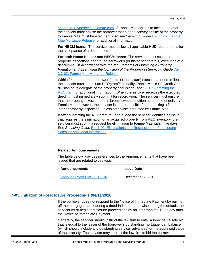[shortsale\\_reverse@fanniemae.com.](mailto:dil-shortsale_reverse@fanniemae.com) If Fannie Mae agrees to accept the offer, the servicer must advise the borrower that a deed conveying title of the property to Fannie Mae must be executed. Also see *Servicing Guide* [D2-3.3-02, Fannie](https://www.fanniemae.com/content/guide/servicing/d2/3.3/02.html)  [Mae Mortgage Release](https://www.fanniemae.com/content/guide/servicing/d2/3.3/02.html) for additional information.

**For HECM loans:** The servicer must follow all applicable HUD requirements for the acceptance of a deed-in-lieu.

**For both Home Keeper and HECM loans:** The servicer must schedule property inspections prior to the borrower's (or his or her estate's) execution of a deed-in-lieu in accordance with the requirements of *Obtaining a Property Valuation and Evaluating the Condition of the Property* in *Servicing Guide* [D2-](https://www.fanniemae.com/content/guide/servicing/d2/3.3/02.html) [3.3-02, Fannie Mae Mortgage Release.](https://www.fanniemae.com/content/guide/servicing/d2/3.3/02.html)

Within 24 hours after a borrower (or his or her estate) executes a deed-in-lieu, the servicer must submit an REOgram™ to notify Fannie Mae's SF Credit Ops division or its delegate of the property acquisition (see [5-01, Submitting the](#page-50-0)  [REOgram](#page-50-0) for additional information). When the servicer receives the executed deed, it must immediately submit it for recordation. The servicer must ensure that the property is vacant and in broom-swept condition at the time of delivery to Fannie Mae, however, the servicer is not responsible for conducting a final interior property inspection, unless otherwise instructed by Fannie Mae.

If after submitting the REOgram to Fannie Mae the servicer identifies an issue that requires the elimination of an acquired property from REO inventory, the servicer must submit a request for elimination to Fannie Mae within five days. See *Servicing Guide* [E-4.1-02, Eliminations and Rescissions of Foreclosure](https://www.fanniemae.com/content/guide/servicing/e/4.1/02.html)  [Sales for additional information.](https://www.fanniemae.com/content/guide/servicing/e/4.1/02.html)

#### **Related Announcements**

The table below provides references to the Announcements that have been issued that are related to this topic.

| <b>Announcements</b>     | <b>Issue Date</b> |
|--------------------------|-------------------|
| Announcement RVS-2018-04 | December 12, 2018 |

## <span id="page-44-0"></span>**4-05, Initiation of Foreclosure Proceedings (04/11/2018)**

If the borrower does not respond to the Notice of Immediate Payment by paying off the mortgage loan, offering a deed-in-lieu, or otherwise curing the default, the servicer must begin foreclosure proceedings by no later than the 180th day after the Notice of Immediate Payment.

Generally, the servicer should instruct the law firm to enter a foreclosure sale bid that is equal to the lesser of the borrower's outstanding mortgage loan balance (which should include any outstanding servicer advances) or the appraised value of the property. The servicer may instruct the law firm to bid the borrower's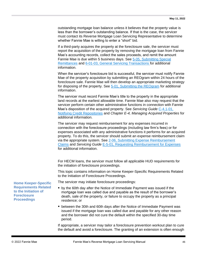outstanding mortgage loan balance unless it believes that the property value is less than the borrower's outstanding balance. If that is the case, the servicer must contact its Reverse Mortgage Loan Servicing Representative to determine whether Fannie Mae is willing to enter a "short" bid.

If a third-party acquires the property at the foreclosure sale, the servicer must report the acquisition of the property by removing the mortgage loan from Fannie Mae's accounting records, collect the sales proceeds, and remit the amount Fannie Mae is due within 5 business days. See [5-05, Submitting Special](#page-55-0)  [Remittances](#page-55-0) and [6-01-03, General Servicing Transactions](#page-62-0) for additional information.

When the servicer's foreclosure bid is successful, the servicer must notify Fannie Mae of the property acquisition by submitting an REOgram within 24 hours of the foreclosure sale. Fannie Mae will then develop an appropriate marketing strategy for disposing of the property. See [5-01, Submitting the REOgram](#page-50-0) for additional information.

The servicer must record Fannie Mae's title to the property in the appropriate land records at the earliest allowable time. Fannie Mae also may request that the servicer perform certain other administrative functions in connection with Fannie Mae's disposition of the acquired property. See Servicing Guide C-4.1-01, [Notifying Credit Repositories](https://www.fanniemae.com/content/guide/servicing/c/4.1/01.html) and *Chapter E-4, Managing Acquired Properties* for additional information.

The servicer may request reimbursement for any expenses incurred in connection with the foreclosure proceedings (including law firm's fees) or for expenses associated with any administrative functions it performs for an acquired property. To do this, the servicer should submit an expense reimbursement claim via the appropriate system. See 2-06, Submitting Expense Reimbursement [Claims](#page-15-0) and *Servicing Guide* [E-5-01, Requesting Reimbursement for Expenses](https://www.fanniemae.com/content/guide/servicing/e/5/01.html)  for additional information.

For HECM loans, the servicer must follow all applicable HUD requirements for the initiation of foreclosure proceedings.

This topic contains information on Home Keeper-Specific Requirements Related to the Initiation of Foreclosure Proceedings.

The servicer may initiate foreclosure proceedings:

- by the 60th day after the Notice of Immediate Payment was issued if the mortgage loan was called due and payable as the result of the borrower's death, sale of the property, or failure to occupy the property as a principal residence; or
- between the 30th and 60th days after the Notice of Immediate Payment was issued if the mortgage loan was called due and payable for any other reason and the borrower did not cure the default within the specified 30-day time period.

If appropriate, a servicer may tailor a foreclosure prevention workout plan to cure the default and avoid a foreclosure. The granting of an extension is often enough

**Home Keeper-Specific Requirements Related to the Initiation of Foreclosure Proceedings**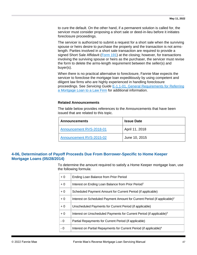to cure the default. On the other hand, if a permanent solution is called for, the servicer must consider proposing a short sale or deed-in-lieu before it initiates foreclosure proceedings.

The servicer is authorized to submit a request for a short sale when the surviving spouse or heirs desire to purchase the property and the transaction is not armslength. Parties involved in a short sale transaction are required to provide a signed Short Sale Affidavit [\(Form 191\)](https://www.fanniemae.com/content/guide_form/191.doc) at the closing; however, for transactions involving the surviving spouse or heirs as the purchaser, the servicer must revise the form to delete the arms-length requirement between the seller(s) and buyer(s).

When there is no practical alternative to foreclosure, Fannie Mae expects the servicer to foreclose the mortgage loan expeditiously by using competent and diligent law firms who are highly experienced in handling foreclosure proceedings. See *Servicing Guide* [E-1.1-01, General Requirements for Referring](https://www.fanniemae.com/content/guide/servicing/e/1.1/01.html)  [a Mortgage Loan to a Law Firm](https://www.fanniemae.com/content/guide/servicing/e/1.1/01.html) for additional information.

#### **Related Announcements**

The table below provides references to the Announcements that have been issued that are related to this topic.

| <b>Announcements</b>     | <b>Issue Date</b> |
|--------------------------|-------------------|
| Announcement RVS-2018-01 | April 11, 2018    |
| Announcement RVS-2015-02 | June 10, 2015     |

# <span id="page-46-0"></span>**4-06, Determination of Payoff Proceeds Due From Borrower-Specific to Home Keeper Mortgage Loans (05/28/2014)**

To determine the amount required to satisfy a Home Keeper mortgage loan, use the following formula:

| $+0$ | Ending Loan Balance from Prior Period                                                |
|------|--------------------------------------------------------------------------------------|
| $+0$ | Interest on Ending Loan Balance from Prior Period <sup>1</sup>                       |
| $+0$ | Scheduled Payment Amount for Current Period (if applicable)                          |
| $+0$ | Interest on Scheduled Payment Amount for Current Period (if applicable) <sup>2</sup> |
| $+0$ | Unscheduled Payments for Current Period (if applicable)                              |
| $+0$ | Interest on Unscheduled Payments for Current Period (if applicable) <sup>3</sup>     |
| - 0  | Partial Repayments for Current Period (if applicable)                                |
| - 0  | Interest on Partial Repayments for Current Period (if applicable) <sup>4</sup>       |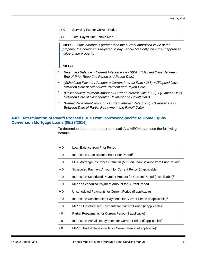| $+0$  | Servicing Fee for Current Period |
|-------|----------------------------------|
| $= 0$ | Total Payoff Due Fannie Mae      |

NOTE: *If this amount is greater than the current appraised value of the property, the borrower is required to pay Fannie Mae only the current appraised value of the property.*

## NOTE:

- *1. Beginning Balance Current Interest Rate / 365) (Elapsed Days Between End of Prior Reporting Period and Payoff Date)*
- *2. (Scheduled Payment Amount Current Interest Rate / 365) (Elapsed Days Between Date of Scheduled Payment and Payoff Date)*
- *3. (Unscheduled Payment Amount Current Interest Rate / 365) (Elapsed Days Between Date of Unscheduled Payment and Payoff Date)*
- *4. (Partial Repayment Amount Current Interest Rate / 365) (Elapsed Days Between Date of Partial Repayment and Payoff Date)*

# <span id="page-47-0"></span>**4-07, Determination of Payoff Proceeds Due From Borrower-Specific to Home Equity Conversion Mortgage Loans (05/28/2014)**

To determine the amount required to satisfy a HECM loan, use the following formula:

| $+0$ | Loan Balance from Prior Period                                                       |
|------|--------------------------------------------------------------------------------------|
| $+0$ | Interest on Loan Balance from Prior Period <sup>1</sup>                              |
| $+0$ | FHA Mortgage Insurance Premium (MIP) on Loan Balance from Prior Period <sup>2</sup>  |
| $+0$ | Scheduled Payment Amount for Current Period (if applicable)                          |
| $+0$ | Interest on Scheduled Payment Amount for Current Period (if applicable) <sup>3</sup> |
| $+0$ | MIP on Scheduled Payment Amount for Current Period <sup>4</sup>                      |
| $+0$ | Unscheduled Payments for Current Period (if applicable)                              |
| $+0$ | Interest on Unscheduled Payments for Current Period (if applicable) <sup>5</sup>     |
| $+0$ | MIP on Unscheduled Payments for Current Period (if applicable) <sup>6</sup>          |
| - 0  | Partial Repayments for Current Period (if applicable)                                |
| - 0  | Interest on Partial Repayments for Current Period (if applicable) <sup>7</sup>       |
| - 0  | MIP on Partial Repayments for Current Period (if applicable) <sup>8</sup>            |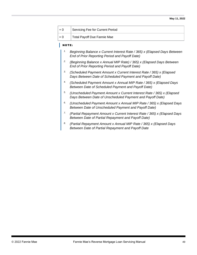| $+0$  | Servicing Fee for Current Period |
|-------|----------------------------------|
| $= 0$ | Total Payoff Due Fannie Mae      |

#### NOTE:

- *1. Beginning Balance x Current Interest Rate / 365) x (Elapsed Days Between End of Prior Reporting Period and Payoff Date)*
- *2. (Beginning Balance x Annual MIP Rate) / 365) x (Elapsed Days Between End of Prior Reporting Period and Payoff Date)*
- *3. (Scheduled Payment Amount x Current Interest Rate / 365) x (Elapsed Days Between Date of Scheduled Payment and Payoff Date)*
- *4. (Scheduled Payment Amount x Annual MIP Rate / 365) x (Elapsed Days Between Date of Scheduled Payment and Payoff Date)*
- *5. (Unscheduled Payment Amount x Current Interest Rate / 365) x (Elapsed Days Between Date of Unscheduled Payment and Payoff Date)*
- *6. (Unscheduled Payment Amount x Annual MIP Rate / 365) x (Elapsed Days Between Date of Unscheduled Payment and Payoff Date)*
- *7. (Partial Repayment Amount x Current Interest Rate / 365) x (Elapsed Days Between Date of Partial Repayment and Payoff Date)*
- *8. (Partial Repayment Amount x Annual MIP Rate / 365) x (Elapsed Days Between Date of Partial Repayment and Payoff Date*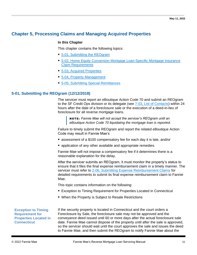# **Chapter 5, Processing Claims and Managing Acquired Properties**

#### **In this Chapter**

This chapter contains the following topics:

- [5-01, Submitting the REOgram](#page-50-0)
- [5-02, Home Equity Conversion Mortgage](#page-52-0) Loan-Specific Mortgage Insurance [Claim Requirements](#page-52-0)
- [5-03, Acquired Properties](#page-52-1)
- [5-04, Property Management](#page-53-0)
- [5-05, Submitting Special Remittances](#page-55-0)

# <span id="page-50-0"></span>**5-01, Submitting the REOgram (12/12/2018)**

The servicer must report an eBoutique Action Code 70 and submit an REOgram to the SF Credit Ops division or its delegate (see [7-03, List of Contacts\)](#page-82-0) within 24 hours after the date of a foreclosure sale or the execution of a deed-in-lieu of foreclosure for all reverse mortgage loans.

NOTE: *Fannie Mae will not accept the servicer's REOgram until an eBoutique Action Code 70 liquidating the mortgage loan is reported.*

Failure to timely submit the REOgram and report the related eBoutique Action Code may result in Fannie Mae's

- assessment of a \$100 compensatory fee for each day it is late, and/or
- application of any other available and appropriate remedies.

Fannie Mae will not impose a compensatory fee if it determines there is a reasonable explanation for the delay.

After the servicer submits an REOgram, it must monitor the property's status to ensure that it files the final expense reimbursement claim in a timely manner. The servicer must refer to [2-06, Submitting Expense Reimbursement Claims](#page-15-0) for detailed requirements to submit its final expense reimbursement claim to Fannie Mae.

This topic contains information on the following:

- Exception to Timing Requirement for Properties Located in Connecticut
- When the Property is Subject to Resale Restrictions

**Exception to Timing Requirement for Properties Located in Connecticut**

If the security property is located in Connecticut and the court orders a Foreclosure by Sale, the foreclosure sale may not be approved and the conveyance deed issued until 60 or more days after the actual foreclosure sale date. Fannie Mae cannot dispose of the property until after the sale is approved, so the servicer should wait until the court approves the sale and issues the deed to Fannie Mae, and then submit the REOgram to notify Fannie Mae about the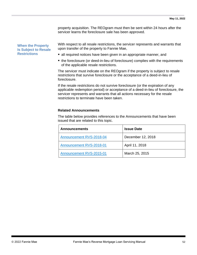property acquisition. The REOgram must then be sent within 24 hours after the servicer learns the foreclosure sale has been approved.

#### **When the Property Is Subject to Resale Restrictions**

With respect to all resale restrictions, the servicer represents and warrants that upon transfer of the property to Fannie Mae,

- all required notices have been given in an appropriate manner, and
- the foreclosure (or deed-in-lieu of foreclosure) complies with the requirements of the applicable resale restrictions.

The servicer must indicate on the REOgram if the property is subject to resale restrictions that survive foreclosure or the acceptance of a deed-in-lieu of foreclosure.

If the resale restrictions do not survive foreclosure (or the expiration of any applicable redemption period) or acceptance of a deed-in-lieu of foreclosure, the servicer represents and warrants that all actions necessary for the resale restrictions to terminate have been taken.

## **Related Announcements**

The table below provides references to the Announcements that have been issued that are related to this topic.

| <b>Announcements</b>     | <b>Issue Date</b> |
|--------------------------|-------------------|
| Announcement RVS-2018-04 | December 12, 2018 |
| Announcement RVS-2018-01 | April 11, 2018    |
| Announcement RVS-2015-01 | March 25, 2015    |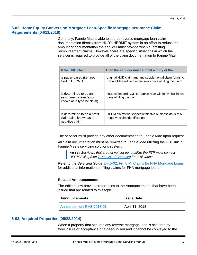# <span id="page-52-0"></span>**5-02, Home Equity Conversion Mortgage Loan-Specific Mortgage Insurance Claim Requirements (04/11/2018)**

Generally, Fannie Mae is able to source reverse mortgage loan claim documentation directly from HUD's HERMIT system in an effort to reduce the amount of documentation the servicer must provide when submitting reimbursement claims. However, there are specific situations in which the servicer is required to provide all of the claim documentation to Fannie Mae.

| If the HUD claim                                                              | Then the servicer must submit a copy of the                                                                         |  |
|-------------------------------------------------------------------------------|---------------------------------------------------------------------------------------------------------------------|--|
| is paper-based (i.e., not<br>filed in HERMIT)                                 | original HUD claim and any supplemental claim forms to<br>Fannie Mae within five business days of filing the claim. |  |
| is determined to be an<br>assignment claim (also<br>known as a type 22 claim) | HUD claim and AOP to Fannie Mae within five business<br>days of filing the claim.                                   |  |
| is determined to be a profit<br>claim (also known as a<br>negative claim)     | HECM claims worksheet within five business days of a<br>negative claim identification.                              |  |

The servicer must provide any other documentation to Fannie Mae upon request.

All claim documentation must be remitted to Fannie Mae utilizing the FTP link in Fannie Mae's servicing solutions system.

NOTE: *Servicers that are not yet set up to utilize the FTP must contact HECM Billing (see [7-03, List of Contacts\)](#page-82-0) for assistance.*

Refer to the *Servicing Guide* [E-4.5-02, Filing MI Claims for FHA Mortgage Loans](https://www.fanniemae.com/content/guide/servicing/e/4.5/02.html) for additional information on filing claims for FHA mortgage loans.

#### **Related Announcements**

The table below provides references to the Announcements that have been issued that are related to this topic.

| ∣ Announcements          | <b>Issue Date</b> |
|--------------------------|-------------------|
| Announcement RVS-2018-01 | April 11, 2018    |

# <span id="page-52-1"></span>**5-03, Acquired Properties (05/28/2014)**

When a property that secures any reverse mortgage loan is acquired by foreclosure or acceptance of a deed-in-lieu and it cannot be conveyed to the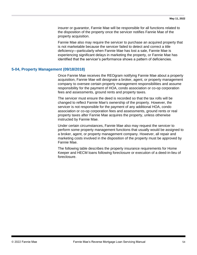insurer or guarantor, Fannie Mae will be responsible for all functions related to the disposition of the property once the servicer notifies Fannie Mae of the property acquisition.

Fannie Mae also may require the servicer to purchase an acquired property that is not marketable because the servicer failed to detect and correct a title deficiency—particularly when Fannie Mae has lost a sale, Fannie Mae is experiencing significant delays in marketing the property, or Fannie Mae has identified that the servicer's performance shows a pattern of deficiencies.

## <span id="page-53-0"></span>**5-04, Property Management (09/18/2018)**

Once Fannie Mae receives the REOgram notifying Fannie Mae about a property acquisition, Fannie Mae will designate a broker, agent, or property management company to oversee certain property management responsibilities and assume responsibility for the payment of HOA, condo association or co-op corporation fees and assessments, ground rents and property taxes.

The servicer must ensure the deed is recorded so that the tax rolls will be changed to reflect Fannie Mae's ownership of the property. However, the servicer is not responsible for the payment of any additional HOA, condo association or co-op corporation fees and assessments, ground rents or real property taxes after Fannie Mae acquires the property, unless otherwise instructed by Fannie Mae.

Under certain circumstances, Fannie Mae also may request the servicer to perform some property management functions that usually would be assigned to a broker, agent, or property management company. However, all repair and marketing costs involved in the disposition of the property must be approved by Fannie Mae.

The following table describes the property insurance requirements for Home Keeper and HECM loans following foreclosure or execution of a deed-in-lieu of foreclosure.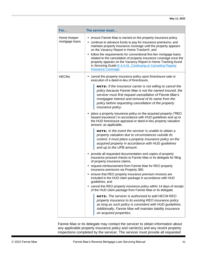| For<br>The servicer must           |                                                                                                                                                                                                                                                                                                                                                                                                                                                                                                                                                                                                                                                                                                                                                                                                                                                                                                                                                                                                                                                                                                                                                                                                                                                                                                                                                                                                                                                                                                                                                                                                                                                                                                                                                                    |
|------------------------------------|--------------------------------------------------------------------------------------------------------------------------------------------------------------------------------------------------------------------------------------------------------------------------------------------------------------------------------------------------------------------------------------------------------------------------------------------------------------------------------------------------------------------------------------------------------------------------------------------------------------------------------------------------------------------------------------------------------------------------------------------------------------------------------------------------------------------------------------------------------------------------------------------------------------------------------------------------------------------------------------------------------------------------------------------------------------------------------------------------------------------------------------------------------------------------------------------------------------------------------------------------------------------------------------------------------------------------------------------------------------------------------------------------------------------------------------------------------------------------------------------------------------------------------------------------------------------------------------------------------------------------------------------------------------------------------------------------------------------------------------------------------------------|
| Home Keeper<br>mortgage loans<br>٠ | ensure Fannie Mae is named on the property insurance policy<br>• continue to advance funds to pay for insurance premiums, and<br>maintain property insurance coverage until the property appears<br>on the Vacancy Report in Home Tracker®, and<br>follow the requirements for conventional first lien mortgage loans<br>related to the cancelation of property insurance coverage once the<br>property appears on the Vacancy Report in Home Tracking found<br>in Servicing Guide E-4.4-01, Continuing or Canceling Poperty<br><b>Insurance Coverage.</b>                                                                                                                                                                                                                                                                                                                                                                                                                                                                                                                                                                                                                                                                                                                                                                                                                                                                                                                                                                                                                                                                                                                                                                                                         |
| <b>HECMs</b>                       | cancel the property insurance policy upon foreclosure sale or<br>execution of a deed-in-lieu of foreclosure,<br><b>NOTE:</b> If the insurance carrier is not willing to cancel the<br>policy because Fannie Mae is not the named insured, the<br>servicer must first request cancellation of Fannie Mae's<br>mortgagee interest and removal of its name from the<br>policy before requesting cancellation of the property<br>insurance policy.<br>• place a property insurance policy on the acquired property ("REO<br>hazard insurance") in accordance with HUD guidelines and up to<br>the HUD foreclosure appraisal or deed-in-lieu property valuation<br>amount, as applicable,<br><b>NOTE:</b> In the event the servicer is unable to obtain a<br>property valuation due to circumstances outside its<br>control, it must place a property insurance policy on the<br>acquired property in accordance with HUD guidelines<br>and up to the UPB amount.<br>• provide all requested documentation and copies of property<br>insurance proceed checks to Fannie Mae or its delegate for filing<br>of property insurance claims,<br>request reimbursement from Fannie Mae for REO property<br>insurance premiums via Property 360,<br>ensure that REO property insurance premium invoices are<br>included in the HUD claim package in accordance with HUD<br>guidelines, and<br>cancel the REO property insurance policy within 14 days of receipt<br>of the HUD claim package from Fannie Mae or its delegate.<br><b>NOTE:</b> The servicer is authorized to add HECM REO<br>property insurance to its existing REO insurance policy<br>as long as such policy is consistent with HUD quidelines.<br>Additionally, Fannie Mae will maintain liability insurance |

Fannie Mae or its delegate may contact the servicer to obtain information about any applicable property insurance policy and carrier(s) and any recent property inspections completed by the servicer. The servicer must provide all requested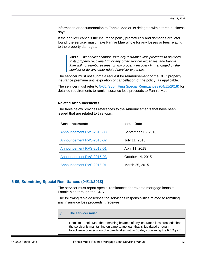information or documentation to Fannie Mae or its delegate within three business days.

If the servicer cancels the insurance policy prematurely and damages are later found, the servicer must make Fannie Mae whole for any losses or fees relating to the property damages.

NOTE: *The servicer cannot issue any insurance loss proceeds to pay fees to its property recovery firm or any other servicer expenses, and Fannie Mae will not reimburse fees for any property recovery firm engaged by the servicer or for any other related servicer expenses.*

The servicer must not submit a request for reimbursement of the REO property insurance premium until expiration or cancellation of the policy, as applicable.

The servicer must refer to [5-05, Submitting Special Remittances \(04/11/2018\)](#page-55-0) for detailed requirements to remit insurance loss proceeds to Fannie Mae.

#### **Related Announcements**

The table below provides references to the Announcements that have been issued that are related to this topic.

| <b>Announcements</b>     | <b>Issue Date</b>  |
|--------------------------|--------------------|
| Announcement RVS-2018-03 | September 18, 2018 |
| Announcement RVS-2018-02 | July 11, 2018      |
| Announcement RVS-2018-01 | April 11, 2018     |
| Announcement RVS-2015-03 | October 14, 2015   |
| Announcement RVS-2015-01 | March 25, 2015     |

# <span id="page-55-0"></span>**5-05, Submitting Special Remittances (04/11/2018)**

The servicer must report special remittances for reverse mortgage loans to Fannie Mae through the CRS.

The following table describes the servicer's responsibilities related to remitting any insurance loss proceeds it receives.

| <b>The servicer must</b>                                                                                                                                                                                                                        |
|-------------------------------------------------------------------------------------------------------------------------------------------------------------------------------------------------------------------------------------------------|
| Remit to Fannie Mae the remaining balance of any insurance loss proceeds that<br>the servicer is maintaining on a mortgage loan that is liquidated through<br>foreclosure or execution of a deed-in-lieu within 30 days of issuing the REOgram. |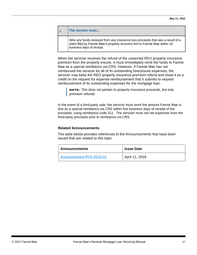| $\mathcal{A}$ | The servicer must                                                                                                                                                                          |
|---------------|--------------------------------------------------------------------------------------------------------------------------------------------------------------------------------------------|
|               | Wire any funds received from any insurance loss proceeds that was a result of a<br>claim filed by Fannie Mae's property recovery firm to Fannie Mae within 10<br>business days of receipt. |

When the servicer receives the refund of the unearned REO property insurance premium from the property insurer, it must immediately remit the funds to Fannie Mae as a special remittance via CRS. However, if Fannie Mae has not reimbursed the servicer for all of its outstanding foreclosure expenses, the servicer may keep the REO property insurance premium refund and show it as a credit on the request for expense reimbursement that it submits to request reimbursement of its outstanding expenses for the mortgage loan.

NOTE: *This does not pertain to property insurance proceeds, but only premium refunds.*

In the event of a third-party sale, the servicer must remit the amount Fannie Mae is due as a special remittance via CRS within five business days of receipt of the proceeds, using remittance code 311. The servicer must not net expenses from the third-party proceeds prior to remittance via CRS.

### **Related Announcements**

The table below provides references to the Announcements that have been issued that are related to this topic.

| <b>Announcements</b>     | <b>Issue Date</b> |
|--------------------------|-------------------|
| Announcement RVS-2018-01 | April 11, 2018    |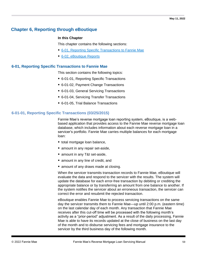# **Chapter 6, Reporting through eBoutique**

# **In this Chapter**

This chapter contains the following sections:

- [6-01, Reporting Specific Transactions to Fannie Mae](#page-58-0)
- [6-02, eBoutique Reports](#page-72-0)

# <span id="page-58-0"></span>**6-01, Reporting Specific Transactions to Fannie Mae**

This section contains the following topics:

- 6-01-01, Reporting Specific Transactions
- 6-01-02, Payment Change Transactions
- 6-01-03, General Servicing Transactions
- 6-01-04, Servicing Transfer Transactions
- 6-01-05, Trial Balance Transactions

# **6-01-01, Reporting Specific Transactions (03/25/2015)**

Fannie Mae's reverse mortgage loan reporting system, eBoutique, is a webbased application that provides access to the Fannie Mae reverse mortgage loan database, which includes information about each reverse mortgage loan in a servicer's portfolio. Fannie Mae carries multiple balances for each mortgage loan:

- total mortgage loan balance,
- amount in any repair set-aside,
- amount in any T&I set-aside,
- amount in any line of credit, and
- amount of any draws made at closing.

When the servicer transmits transaction records to Fannie Mae, eBoutique will evaluate the data and respond to the servicer with the results. The system will update the database for each error-free transaction by debiting or crediting the appropriate balance or by transferring an amount from one balance to another. If the system notifies the servicer about an erroneous transaction, the servicer can correct the error and resubmit the rejected transaction.

eBoutique enables Fannie Mae to process servicing transactions on the same day the servicer transmits them to Fannie Mae—up until 2:00 p.m. (eastern time) on the last calendar day of each month. Any transaction that Fannie Mae receives after this cut-off time will be processed with the following month's activity as a "prior-period" adjustment. As a result of the daily processing, Fannie Mae is able to have its records updated at the close of business on the last day of the month and to disburse servicing fees and mortgage insurance to the servicer by the third business day of the following month.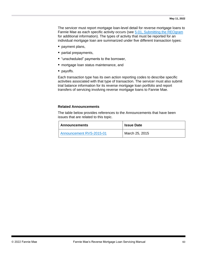The servicer must report mortgage loan-level detail for reverse mortgage loans to Fannie Mae as each specific activity occurs (see [5-01, Submitting the REOgram](#page-50-0) for additional information). The types of activity that must be reported for an individual mortgage loan are summarized under five different transaction types:

- payment plans,
- partial prepayments,
- "unscheduled" payments to the borrower,
- mortgage loan status maintenance, and
- payoffs.

Each transaction type has its own action reporting codes to describe specific activities associated with that type of transaction. The servicer must also submit trial balance information for its reverse mortgage loan portfolio and report transfers of servicing involving reverse mortgage loans to Fannie Mae.

#### **Related Announcements**

The table below provides references to the Announcements that have been issues that are related to this topic.

| Announcements            | <b>Issue Date</b> |
|--------------------------|-------------------|
| Announcement RVS-2015-01 | March 25, 2015    |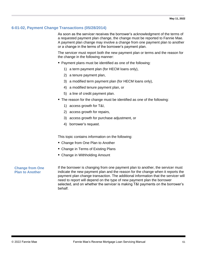# <span id="page-60-0"></span>**6-01-02, Payment Change Transactions (05/28/2014)**

As soon as the servicer receives the borrower's acknowledgment of the terms of a requested payment plan change, the change must be reported to Fannie Mae. A payment plan change may involve a change from one payment plan to another or a change in the terms of the borrower's payment plan.

The servicer must report both the new payment plan or terms and the reason for the change in the following manner:

- Payment plans must be identified as one of the following:
	- 1) a term payment plan (for HECM loans only),
	- 2) a tenure payment plan,
	- 3) a modified term payment plan (for HECM loans only),
	- 4) a modified tenure payment plan, or
	- 5) a line of credit payment plan.
- The reason for the change must be identified as one of the following:
	- 1) access growth for T&I,
	- 2) access growth for repairs,
	- 3) access growth for purchase adjustment, or
	- 4) borrower's request.

This topic contains information on the following:

- Change from One Plan to Another
- Change in Terms of Existing Plans
- Change in Withholding Amount

### **Change from One Plan to Another**

If the borrower is changing from one payment plan to another, the servicer must indicate the new payment plan and the reason for the change when it reports the payment plan change transaction. The additional information that the servicer will need to report will depend on the type of new payment plan the borrower selected, and on whether the servicer is making T&I payments on the borrower's behalf.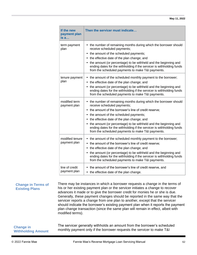| If the new<br>payment plan<br>is a | Then the servicer must indicate                                                                                                                                                                                                                                                                                                                                                                                                                          |
|------------------------------------|----------------------------------------------------------------------------------------------------------------------------------------------------------------------------------------------------------------------------------------------------------------------------------------------------------------------------------------------------------------------------------------------------------------------------------------------------------|
| term payment<br>plan               | • the number of remaining months during which the borrower should<br>receive scheduled payments;<br>• the amount of the scheduled payments;<br>• the effective date of the plan change; and<br>• the amount (or percentage) to be withheld and the beginning and<br>ending dates for the withholding if the servicer is withholding funds<br>from the scheduled payments to make T&I payments.                                                           |
| tenure payment<br>plan             | • the amount of the scheduled monthly payment to the borrower;<br>• the effective date of the plan change; and<br>• the amount (or percentage) to be withheld and the beginning and<br>ending dates for the withholding if the servicer is withholding funds<br>from the scheduled payments to make T&I payments.                                                                                                                                        |
| modified term<br>payment plan      | • the number of remaining months during which the borrower should<br>receive scheduled payments;<br>• the amount of the borrower's line of credit reserve;<br>• the amount of the scheduled payments;<br>• the effective date of the plan change; and<br>• the amount (or percentage) to be withheld and the beginning and<br>ending dates for the withholding if the servicer is withholding funds<br>from the scheduled payments to make T&I payments. |
| modified tenure<br>payment plan    | • the amount of the scheduled monthly payment to the borrower;<br>the amount of the borrower's line of credit reserve;<br>٠<br>the effective date of the plan change; and<br>$\bullet$<br>• the amount (or percentage) to be withheld and the beginning and<br>ending dates for the withholding if the servicer is withholding funds<br>from the scheduled payments to make T&I payments.                                                                |
| line of credit<br>payment plan     | the amount of the borrower's line of credit reserve, and<br>• the effective date of the plan change.                                                                                                                                                                                                                                                                                                                                                     |

#### **Change in Terms of Existing Plans**

There may be instances in which a borrower requests a change in the terms of his or her existing payment plan or the servicer initiates a change to recover advances it made or to give the borrower credit for monies he or she is due. Generally, these payment changes should be reported in the same way that the servicer reports a change from one plan to another, except that the servicer should indicate the borrower's existing payment plan when it reports the payment plan change transaction (since the same plan will remain in effect, albeit with modified terms).

| <b>Change in</b>          | The servicer generally withholds an amount from the borrower's scheduled |
|---------------------------|--------------------------------------------------------------------------|
| <b>Withholding Amount</b> | monthly payment only if the borrower requests the servicer to make T&I   |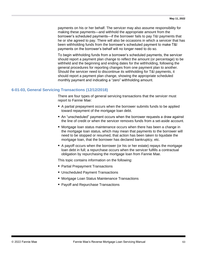payments on his or her behalf. The servicer may also assume responsibility for making these payments—and withhold the appropriate amount from the borrower's scheduled payments—if the borrower fails to pay T&I payments that he or she agreed to pay. There will also be occasions in which a servicer that has been withholding funds from the borrower's scheduled payment to make T&I payments on the borrower's behalf will no longer need to do so.

To begin withholding funds from a borrower's scheduled payments, the servicer should report a payment plan change to reflect the amount (or percentage) to be withheld and the beginning and ending dates for the withholding, following the general procedures for reporting changes from one payment plan to another. Should the servicer need to discontinue its withholding for T&I payments, it should report a payment plan change, showing the appropriate scheduled monthly payment and indicating a "zero" withholding amount.

# <span id="page-62-0"></span>**6-01-03, General Servicing Transactions (12/12/2018)**

There are four types of general servicing transactions that the servicer must report to Fannie Mae:

- A partial prepayment occurs when the borrower submits funds to be applied toward repayment of the mortgage loan debt.
- An "unscheduled" payment occurs when the borrower requests a draw against the line of credit or when the servicer removes funds from a set-aside account.
- Mortgage loan status maintenance occurs when there has been a change in the mortgage loan status, which may mean that payments to the borrower will need to be stopped or resumed, that action has been taken to liquidate the mortgage loan, that the borrower has declared bankruptcy, etc.
- A payoff occurs when the borrower (or his or her estate) repays the mortgage loan debt in full; a repurchase occurs when the servicer fulfills a contractual obligation by repurchasing the mortgage loan from Fannie Mae.

This topic contains information on the following:

- Partial Prepayment Transactions
- Unscheduled Payment Transactions
- Mortgage Loan Status Maintenance Transactions
- Payoff and Repurchase Transactions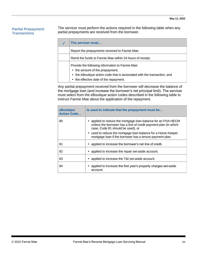## **Partial Prepayment Transactions**

The servicer must perform the actions required in the following table when any partial prepayments are received from the borrower.

| The servicer must                                                                                                                                                                                         |  |
|-----------------------------------------------------------------------------------------------------------------------------------------------------------------------------------------------------------|--|
| Report the prepayments received to Fannie Mae.                                                                                                                                                            |  |
| Remit the funds to Fannie Mae within 24 hours of receipt.                                                                                                                                                 |  |
| Provide the following information to Fannie Mae:<br>• the amount of the prepayment,<br>• the eBoutique action code that is associated with the transaction, and<br>• the effective date of the repayment. |  |

Any partial prepayment received from the borrower will decrease the balance of the mortgage loan (and increase the borrower's net principal limit). The servicer must select from the eBoutique action codes described in the following table to instruct Fannie Mae about the application of the repayment.

| eBoutique<br><b>Action Code</b> | Is used to indicate that the prepayment must be                                                                                                                       |
|---------------------------------|-----------------------------------------------------------------------------------------------------------------------------------------------------------------------|
| 80                              | • applied to reduce the mortgage loan balance for an FHA HECM<br>unless the borrower has a line of credit payment plan (in which<br>case, Code 81 should be used), or |
|                                 | • used to reduce the mortgage loan balance for a Home Keeper<br>mortgage loan if the borrower has a tenure payment plan.                                              |
| 81                              | applied to increase the borrower's net line of credit.                                                                                                                |
| 82                              | applied to increase the repair set-aside account.                                                                                                                     |
| 83                              | applied to increase the T&I set-aside account.                                                                                                                        |
| 84                              | applied to increase the first year's property charges set-aside<br>account.                                                                                           |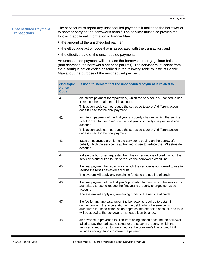# **Unscheduled Payment Transactions**

The servicer must report any unscheduled payments it makes to the borrower or to another party on the borrower's behalf. The servicer must also provide the following additional information to Fannie Mae:

- the amount of the unscheduled payment,
- the eBoutique action code that is associated with the transaction, and
- the effective date of the unscheduled payment.

An unscheduled payment will increase the borrower's mortgage loan balance (and decrease the borrower's net principal limit). The servicer must select from the eBoutique action codes described in the following table to instruct Fannie Mae about the purpose of the unscheduled payment.

| eBoutique<br><b>Action</b><br>Code | Is used to indicate that the unscheduled payment is related to                                                                                                                                                                                                                         |
|------------------------------------|----------------------------------------------------------------------------------------------------------------------------------------------------------------------------------------------------------------------------------------------------------------------------------------|
| 41                                 | an interim payment for repair work, which the servicer is authorized to use<br>to reduce the repair set-aside account.                                                                                                                                                                 |
|                                    | This action code cannot reduce the set-aside to zero. A different action<br>code is used for the final payment.                                                                                                                                                                        |
| 42                                 | an interim payment of the first year's property charges, which the servicer<br>is authorized to use to reduce the first year's property charges set-aside<br>account.                                                                                                                  |
|                                    | This action code cannot reduce the set-aside to zero. A different action<br>code is used for the final payment.                                                                                                                                                                        |
| 43                                 | taxes or insurance premiums the servicer is paying on the borrower's<br>behalf, which the servicer is authorized to use to reduce the T&I set-aside<br>account.                                                                                                                        |
| 44                                 | a draw the borrower requested from his or her net line of credit, which the<br>servicer is authorized to use to reduce the borrower's credit line.                                                                                                                                     |
| 45                                 | the final payment for repair work, which the servicer is authorized to use to<br>reduce the repair set-aside account.<br>The system will apply any remaining funds to the net line of credit.                                                                                          |
| 46                                 | the final payment of the first year's property charges, which the servicer is<br>authorized to use to reduce the first year's property charges set-aside<br>account.<br>The system will apply any remaining funds to the net line of credit.                                           |
| 47                                 | the fee for any appraisal report the borrower is required to obtain in<br>connection with the acceleration of the debt, which the servicer is<br>authorized to use to establish an appraisal fee set-aside account, and thus<br>will be added to the borrower's mortgage loan balance. |
| 48                                 | an advance to prevent a tax lien from being placed because the borrower<br>failed to pay the real estate taxes for the security property, which the<br>servicer is authorized to use to reduce the borrower's line of credit if it<br>includes enough funds to make the payment.       |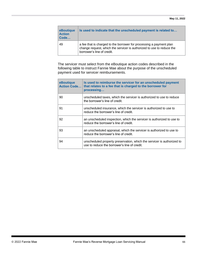| eBoutique<br><b>Action</b><br>Code | Is used to indicate that the unscheduled payment is related to                                                                                                             |
|------------------------------------|----------------------------------------------------------------------------------------------------------------------------------------------------------------------------|
| 49                                 | a fee that is charged to the borrower for processing a payment plan<br>change request, which the servicer is authorized to use to reduce the<br>borrower's line of credit. |

The servicer must select from the eBoutique action codes described in the following table to instruct Fannie Mae about the purpose of the unscheduled payment used for servicer reimbursements.

| eBoutique<br><b>Action Code</b> | Is used to reimburse the servicer for an unscheduled payment<br>that relates to a fee that is charged to the borrower for<br>processing |
|---------------------------------|-----------------------------------------------------------------------------------------------------------------------------------------|
| 90                              | unscheduled taxes, which the servicer is authorized to use to reduce<br>the borrower's line of credit.                                  |
| 91                              | unscheduled insurance, which the servicer is authorized to use to<br>reduce the borrower's line of credit.                              |
| 92                              | an unscheduled inspection, which the servicer is authorized to use to<br>reduce the borrower's line of credit.                          |
| 93                              | an unscheduled appraisal, which the servicer is authorized to use to<br>reduce the borrower's line of credit.                           |
| 94                              | unscheduled property preservation, which the servicer is authorized to<br>use to reduce the borrower's line of credit.                  |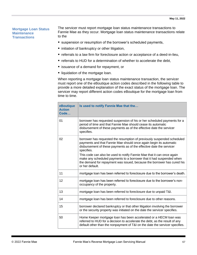### **Mortgage Loan Status Maintenance Transactions**

The servicer must report mortgage loan status maintenance transactions to Fannie Mae as they occur. Mortgage loan status maintenance transactions relate to the

- suspension or resumption of the borrower's scheduled payments,
- initiation of bankruptcy or other litigation,
- referrals to a law firm for foreclosure action or acceptance of a deed-in-lieu,
- referrals to HUD for a determination of whether to accelerate the debt,
- issuance of a demand for repayment, or
- **E** liquidation of the mortgage loan.

When reporting a mortgage loan status maintenance transaction, the servicer must report one of the eBoutique action codes described in the following table to provide a more detailed explanation of the exact status of the mortgage loan. The servicer may report different action codes eBoutique for the mortgage loan from time to time.

| eBoutique<br><b>Action</b><br>Code | Is used to notify Fannie Mae that the                                                                                                                                                                                                        |  |
|------------------------------------|----------------------------------------------------------------------------------------------------------------------------------------------------------------------------------------------------------------------------------------------|--|
| 01                                 | borrower has requested suspension of his or her scheduled payments for a<br>period of time and that Fannie Mae should cease its automatic<br>disbursement of these payments as of the effective date the servicer<br>specifies.              |  |
| 02                                 | borrower has requested the resumption of previously suspended scheduled<br>payments and that Fannie Mae should once again begin its automatic<br>disbursement of these payments as of the effective date the servicer<br>specifies.          |  |
|                                    | This code can also be used to notify Fannie Mae that it can once again<br>make any scheduled payments to a borrower that it had suspended when<br>the demand for repayment was issued, because the borrower has cured his<br>or her default. |  |
| 11                                 | mortgage loan has been referred to foreclosure due to the borrower's death.                                                                                                                                                                  |  |
| 12                                 | mortgage loan has been referred to foreclosure due to the borrower's non-<br>occupancy of the property.                                                                                                                                      |  |
| 13                                 | mortgage loan has been referred to foreclosure due to unpaid T&I.                                                                                                                                                                            |  |
| 14                                 | mortgage loan has been referred to foreclosure due to other reasons.                                                                                                                                                                         |  |
| 15                                 | borrower declared bankruptcy or that other litigation involving the borrower<br>or the security property was initiated on the date the servicer specifies.                                                                                   |  |
| 50                                 | Home Keeper mortgage loan has been accelerated or a HECM loan was<br>referred to HUD for a decision to accelerate the debt, as the result of any<br>default other than the nonpayment of T&I on the date the servicer specifies.             |  |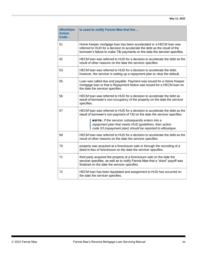| eBoutique<br><b>Action</b><br>Code | Is used to notify Fannie Mae that the                                                                                                                                                                                                                                                                                               |  |
|------------------------------------|-------------------------------------------------------------------------------------------------------------------------------------------------------------------------------------------------------------------------------------------------------------------------------------------------------------------------------------|--|
| 51                                 | Home Keeper mortgage loan has been accelerated or a HECM loan was<br>referred to HUD for a decision to accelerate the debt as the result of the<br>borrower's failure to make T&I payments on the date the servicer specifies.                                                                                                      |  |
| 52                                 | HECM loan was referred to HUD for a decision to accelerate the debt as the<br>result of other reasons on the date the servicer specifies.                                                                                                                                                                                           |  |
| 53                                 | HECM loan was referred to HUD for a decision to accelerate the debt;<br>however, the servicer is setting up a repayment plan to clear the default.                                                                                                                                                                                  |  |
| 55                                 | Loan was called due and payable. Payment was issued for a Home Keeper<br>mortgage loan or that a Repayment Notice was issued for a HECM loan on<br>the date the servicer specifies.                                                                                                                                                 |  |
| 56                                 | HECM loan was referred to HUD for a decision to accelerate the debt as<br>result of borrower's non-occupancy of the property on the date the servicer<br>specifies.                                                                                                                                                                 |  |
| 57                                 | HECM loan was referred to HUD for a decision to accelerate the debt as the<br>result of borrower's non-payment of T&I on the date the servicer specifies.<br>NOTE: If the servicer subsequently enters into a<br>repayment plan that meets HUD guidelines, then action<br>code 53 (repayment plan) should be reported to eBoutique. |  |
| 58                                 | HECM loan was referred to HUD for a decision to accelerate the debt as the<br>result of other reasons on the date the servicer specifies.                                                                                                                                                                                           |  |
| 70                                 | property was acquired at a foreclosure sale or through the recording of a<br>deed-in-lieu of foreclosure on the date the servicer specifies.                                                                                                                                                                                        |  |
| 71                                 | third party acquired the property at a foreclosure sale on the date the<br>servicer specifies, as well as to notify Fannie Mae that a "short" payoff was<br>finalized on the date the servicer specifies.                                                                                                                           |  |
| 72                                 | HECM loan has been liquidated and assignment to HUD has occurred on<br>the date the servicer specifies.                                                                                                                                                                                                                             |  |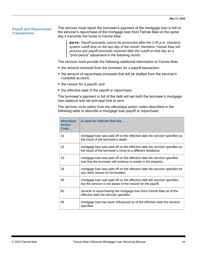## **Payoff and Repurchase Transactions**

The servicer must report the borrower's payment of the mortgage loan in full or the servicer's repurchase of the mortgage loan from Fannie Mae on the same day it transmits the funds to Fannie Mae.

NOTE: *Payoff proceeds cannot be processed after the 2:00 p.m. (eastern) system cutoff time on the last day of the month; therefore, Fannie Mae will process any payoff proceeds received after the cutoff on that day as a "prior-period" adjustment in the following month.*

The servicer must provide the following additional information to Fannie Mae:

- the amount received from the borrower for a payoff transaction,
- the amount of repurchase proceeds that will be drafted from the servicer's custodial account,
- the reason for a payoff, and
- the effective date of the payoff or repurchase.

The borrower's payment in full of the debt will set both the borrower's mortgage loan balance and net principal limit to zero.

The servicer must select from the eBoutique action codes described in the following table to describe a mortgage loan payoff or repurchase.

| eBoutique<br><b>Action</b><br>Code | Is used to indicate that the                                                                                                              |
|------------------------------------|-------------------------------------------------------------------------------------------------------------------------------------------|
| 31                                 | mortgage loan was paid off on the effective date the servicer specifies as<br>the result of the borrower's death.                         |
| 32                                 | mortgage loan was paid off on the effective date the servicer specifies as<br>the result of the borrower's move to a different residence. |
| 33                                 | mortgage loan was paid off on the effective date the servicer specifies<br>and that the borrower will continue to reside in the property. |
| 34                                 | mortgage loan was paid off on the effective date the servicer specifies for<br>any other reason for termination.                          |
| 35                                 | mortgage loan was paid off on the effective date the servicer specifies,<br>but the servicer is not aware of the reason for the payoff.   |
| 65                                 | servicer is repurchasing the mortgage loan from Fannie Mae as of the<br>effective date the servicer specifies.                            |
| 66                                 | mortgage loan has been refinanced as of the effective date the servicer<br>specifies.                                                     |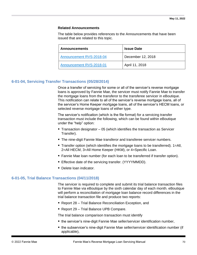#### **Related Announcements**

The table below provides references to the Announcements that have been issued that are related to this topic.

| <b>Announcements</b>     | <b>Issue Date</b> |
|--------------------------|-------------------|
| Announcement RVS-2018-04 | December 12, 2018 |
| Announcement RVS-2018-01 | April 11, 2018    |

# **6-01-04, Servicing Transfer Transactions (05/28/2014)**

Once a transfer of servicing for some or all of the servicer's reverse mortgage loans is approved by Fannie Mae, the servicer must notify Fannie Mae to transfer the mortgage loans from the transferor to the transferee servicer in eBoutique. This notification can relate to all of the servicer's reverse mortgage loans, all of the servicer's Home Keeper mortgage loans, all of the servicer's HECM loans, or selected reverse mortgage loans of either type.

The servicer's notification (which is the file format) for a servicing transfer transaction must include the following, which can be found within eBoutique under the "help" option:

- **Transaction designator 05 (which identifies the transaction as Servicer** Transfer).
- The nine-digit Fannie Mae transferor and transferee servicer numbers.
- **Transfer option (which identifies the mortgage loans to be transferred).**  $1 = All$ , 2=All HECM, 3=All Home Keeper (HKM), or 4=Specific Loan.
- Fannie Mae loan number (for each loan to be transferred if transfer option).
- Effective date of the servicing transfer. (YYYYMMDD).
- Delete loan indicator.

#### **6-01-05, Trial Balance Transactions (04/11/2018)**

The servicer is required to complete and submit its trial balance transaction files to Fannie Mae via eBoutique by the sixth calendar day of each month. eBoutique will perform a reconciliation of mortgage loan balance record differences in the trial balance transaction file and produce two reports:

- Report 28 Trial Balance Reconciliation Exception, and
- Report 29 Trial Balance UPB Compare.

The trial balance comparison transaction must identify

- the servicer's nine-digit Fannie Mae seller/servicer identification number,
- the subservicer's nine-digit Fannie Mae seller/servicer identification number (if applicable),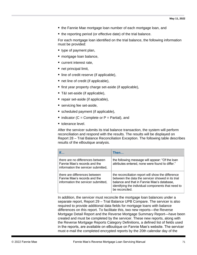- the Fannie Mae mortgage loan number of each mortgage loan, and
- the reporting period (or effective date) of the trial balance.

For each mortgage loan identified on the trial balance, the following information must be provided:

- type of payment plan,
- mortgage loan balance,
- current interest rate,
- net principal limit,
- line of credit reserve (if applicable),
- net line of credit (if applicable),
- first year property charge set-aside (if applicable),
- T&I set-aside (if applicable),
- $\blacksquare$  repair set-aside (if applicable),
- servicing fee set-aside,
- scheduled payment (if applicable),
- $\blacksquare$  indicator (C = Complete or P = Partial), and
- tolerance level.

After the servicer submits its trial balance transaction, the system will perform reconciliation and respond with the results. The results will be displayed on Report 28 – Trial Balance Reconciliation Exception. The following table describes results of the eBoutique analysis.

| If                                                                                                      | Then                                                                                                                                                                                                                          |
|---------------------------------------------------------------------------------------------------------|-------------------------------------------------------------------------------------------------------------------------------------------------------------------------------------------------------------------------------|
| there are no differences between<br>Fannie Mae's records and the<br>information the servicer submitted, | the following message will appear: "Of the loan<br>attributes entered, none were found to differ."                                                                                                                            |
| there are differences between<br>Fannie Mae's records and the<br>information the servicer submitted,    | the reconciliation report will show the difference<br>between the data the servicer showed in its trial<br>balance and that in Fannie Mae's database,<br>identifying the individual components that need to<br>be reconciled. |

In addition, the servicer must reconcile the mortgage loan balances under a separate report, Report 29 – Trial Balance UPB Compare. The servicer is also required to provide additional data fields for mortgage loans with balance differences on this report. To facilitate this, two new reports—the Reverse Mortgage Detail Report and the Reverse Mortgage Summary Report—have been created and must be completed by the servicer. These new reports, along with the Reverse Mortgage Reports Category Definitions, a defined list of fields used in the reports, are available on eBoutique on Fannie Mae's website. The servicer must e-mail the completed encrypted reports by the 20th calendar day of the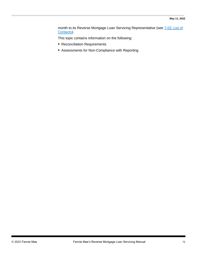month to its Reverse Mortgage Loan Servicing Representative (see [7-03, List of](#page-82-0)  [Contacts\)](#page-82-0).

This topic contains information on the following:

- Reconciliation Requirements
- Assessments for Non-Compliance with Reporting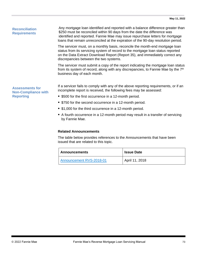#### **Reconciliation Requirements**

Any mortgage loan identified and reported with a balance difference greater than \$250 must be reconciled within 90 days from the date the difference was identified and reported. Fannie Mae may issue repurchase letters for mortgage loans that remain unreconciled at the expiration of the 90-day resolution period.

The servicer must, on a monthly basis, reconcile the month-end mortgage loan status from its servicing system of record to the mortgage loan status reported on the Data Extract Download Report (Report 35), and immediately correct any discrepancies between the two systems.

The servicer must submit a copy of the report indicating the mortgage loan status from its system of record, along with any discrepancies, to Fannie Mae by the 7<sup>th</sup> business day of each month.

If a servicer fails to comply with any of the above reporting requirements, or if an incomplete report is received, the following fees may be assessed:

- \$500 for the first occurrence in a 12-month period.
- \$750 for the second occurrence in a 12-month period.
- \$1,000 for the third occurrence in a 12-month period.
- A fourth occurrence in a 12-month period may result in a transfer of servicing by Fannie Mae.

#### **Related Announcements**

The table below provides references to the Announcements that have been issued that are related to this topic.

| ∣ Announcements          | <b>Issue Date</b> |
|--------------------------|-------------------|
| Announcement RVS-2018-01 | April 11, 2018    |

**Assessments for Non-Compliance with Reporting**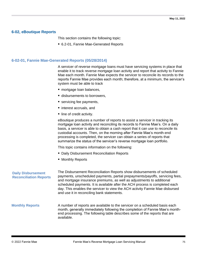## **6-02, eBoutique Reports**

This section contains the following topic:

■ 6.2-01, Fannie Mae-Generated Reports

#### **6-02-01, Fannie Mae-Generated Reports (05/28/2014)**

A servicer of reverse mortgage loans must have servicing systems in place that enable it to track reverse mortgage loan activity and report that activity to Fannie Mae each month. Fannie Mae expects the servicer to reconcile its records to the reports Fannie Mae provides each month; therefore, at a minimum, the servicer's system must be able to track

- mortgage loan balances,
- **E** disbursements to borrowers,
- servicing fee payments,
- interest accruals, and
- line of credit activity.

eBoutique produces a number of reports to assist a servicer in tracking its mortgage loan activity and reconciling its records to Fannie Mae's. On a daily basis, a servicer is able to obtain a cash report that it can use to reconcile its custodial accounts. Then, on the morning after Fannie Mae's month-end processing is completed, the servicer can obtain a series of reports that summarize the status of the servicer's reverse mortgage loan portfolio.

This topic contains information on the following:

- **Daily Disbursement Reconciliation Reports**
- Monthly Reports

| <b>Daily Disbursement</b><br><b>Reconciliation Reports</b> | The Disbursement Reconciliation Reports show disbursements of scheduled<br>payments, unscheduled payments, partial prepayments/payoffs, servicing fees,<br>and mortgage insurance premiums, as well as adjustments to additional<br>scheduled payments. It is available after the ACH process is completed each<br>day. This enables the servicer to view the ACH activity Fannie Mae disbursed<br>and use it in reconciling bank statements. |
|------------------------------------------------------------|-----------------------------------------------------------------------------------------------------------------------------------------------------------------------------------------------------------------------------------------------------------------------------------------------------------------------------------------------------------------------------------------------------------------------------------------------|
| <b>Monthly Reports</b>                                     | A number of reports are available to the servicer on a scheduled basis each<br>month, generally immediately following the completion of Fannie Mae's month-<br>end processing. The following table describes some of the reports that are<br>available.                                                                                                                                                                                       |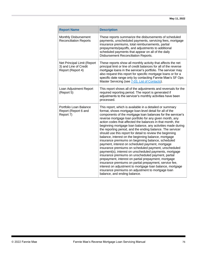| <b>Report Name</b>                                                        | <b>Description</b>                                                                                                                                                                                                                                                                                                                                                                                                                                                                                                                                                                                                                                                                                                                                                                                                                                                                                                                                                                                                                                                                                                   |
|---------------------------------------------------------------------------|----------------------------------------------------------------------------------------------------------------------------------------------------------------------------------------------------------------------------------------------------------------------------------------------------------------------------------------------------------------------------------------------------------------------------------------------------------------------------------------------------------------------------------------------------------------------------------------------------------------------------------------------------------------------------------------------------------------------------------------------------------------------------------------------------------------------------------------------------------------------------------------------------------------------------------------------------------------------------------------------------------------------------------------------------------------------------------------------------------------------|
| Monthly Disbursement<br><b>Reconciliation Reports</b>                     | These reports summarize the disbursements of scheduled<br>payments, unscheduled payments, servicing fees, mortgage<br>insurance premiums, total reimbursements, partial<br>prepayments/payoffs, and adjustments to additional<br>scheduled payments that appear on all of the daily<br>Disbursement Reconciliation Reports.                                                                                                                                                                                                                                                                                                                                                                                                                                                                                                                                                                                                                                                                                                                                                                                          |
| Net Principal Limit (Report<br>3) and Line of Credit<br>Report (Report 4) | These reports show all monthly activity that affects the net<br>principal limit or line of credit balances for all of the reverse<br>mortgage loans in the servicer's portfolio. The servicer may<br>also request this report for specific mortgage loans or for a<br>specific date range only by contacting Fannie Mae's SF Ops<br>Master Servicing (see 7-03, List of Contacts).                                                                                                                                                                                                                                                                                                                                                                                                                                                                                                                                                                                                                                                                                                                                   |
| Loan Adjustment Report<br>(Report 5)                                      | This report shows all of the adjustments and reversals for the<br>required reporting period. The report is generated if<br>adjustments to the servicer's monthly activities have been<br>processed.                                                                                                                                                                                                                                                                                                                                                                                                                                                                                                                                                                                                                                                                                                                                                                                                                                                                                                                  |
| Portfolio Loan Balance<br>Report (Report 6 and<br>Report 7)               | This report, which is available in a detailed or summary<br>format, shows mortgage loan-level detail for all of the<br>components of the mortgage loan balances for the servicer's<br>reverse mortgage loan portfolio for any given month, any<br>action codes that affected the balances in that month, the<br>beginning mortgage loan balance, any activities made during<br>the reporting period, and the ending balance. The servicer<br>should use this report for detail to review the beginning<br>balance, interest on the beginning balance, mortgage<br>insurance premiums on beginning balance, scheduled<br>payment, interest on scheduled payment, mortgage<br>insurance premiums on scheduled payment, unscheduled<br>payment(s), interest on unscheduled payments, mortgage<br>insurance premiums on unscheduled payment, partial<br>prepayment, interest on partial prepayment, mortgage<br>insurance premiums on partial prepayment, service fee,<br>interest on adjustment to mortgage loan balance, mortgage<br>insurance premiums on adjustment to mortgage loan<br>balance, and ending balance. |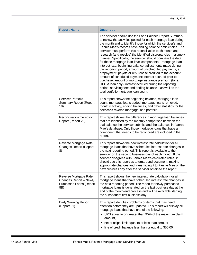| <b>Report Name</b>                                                                       | <b>Description</b>                                                                                                                                                                                                                                                                                                                                                                                                                                                                                                                                                                                                                                                                                                                                                                                                                                                                                                                                                                   |
|------------------------------------------------------------------------------------------|--------------------------------------------------------------------------------------------------------------------------------------------------------------------------------------------------------------------------------------------------------------------------------------------------------------------------------------------------------------------------------------------------------------------------------------------------------------------------------------------------------------------------------------------------------------------------------------------------------------------------------------------------------------------------------------------------------------------------------------------------------------------------------------------------------------------------------------------------------------------------------------------------------------------------------------------------------------------------------------|
|                                                                                          | The servicer should use the Loan Balance Report Summary<br>to review the activities posted for each mortgage loan during<br>the month and to identify those for which the servicer's and<br>Fannie Mae's records have ending balance deficiencies. The<br>servicer must perform this reconciliation each month and<br>research (and resolve) the identified discrepancies in a timely<br>manner. Specifically, the servicer should compare the data<br>for these mortgage loan-level components—mortgage loan<br>interest rate; beginning balance; adjustments made during<br>the reporting period; amount of unscheduled payments; a<br>prepayment, payoff, or repurchase credited to the account;<br>amount of scheduled payment; interest accrued prior to<br>purchase; amount of mortgage insurance premium (for a<br>HECM loan only); interest accrued during the reporting<br>period; servicing fee; and ending balance-as well as the<br>total portfolio mortgage loan count. |
| Servicer Portfolio<br><b>Summary Report (Report</b><br>19)                               | This report shows the beginning balance, mortgage loan<br>count, mortgage loans added, mortgage loans removed,<br>monthly activity, ending balances, and other statistics for the<br>servicer's reverse mortgage loan portfolio.                                                                                                                                                                                                                                                                                                                                                                                                                                                                                                                                                                                                                                                                                                                                                     |
| <b>Reconciliation Exception</b><br>Report (Report 28)                                    | This report shows the differences in mortgage loan balances<br>that are identified by the monthly comparison between the<br>trial balance the servicer submits and the balances in Fannie<br>Mae's database. Only those mortgage loans that have a<br>component that needs to be reconciled are included in the<br>report.                                                                                                                                                                                                                                                                                                                                                                                                                                                                                                                                                                                                                                                           |
| Reverse Mortgage Rate<br><b>Changes Report (Report</b><br>8)                             | This report shows the new interest rate calculation for all<br>mortgage loans that have scheduled interest rate changes in<br>the next reporting period. This report is available to the<br>servicer on the second business day of each month. If the<br>servicer disagrees with Fannie Mae's calculated rates, it<br>should use this report as a turnaround document, making<br>appropriate changes and transmitting it to Fannie Mae on the<br>next business day after the servicer obtained the report.                                                                                                                                                                                                                                                                                                                                                                                                                                                                           |
| Reverse Mortgage Rate<br>Changes Report - Newly<br><b>Purchased Loans (Report</b><br>8B) | This report shows the new interest rate calculation for all<br>mortgage loans that have scheduled interest rate changes in<br>the next reporting period. The report for newly purchased<br>mortgage loans is generated on the last business day at the<br>end of the month-end process and will be available starting<br>the subsequent first business day.                                                                                                                                                                                                                                                                                                                                                                                                                                                                                                                                                                                                                          |
| <b>Early Warning Report</b><br>(Report 21)                                               | This report identifies problems or items that may need<br>attention before they are updated. This report will display all<br>mortgage loans that have one of the following:<br>UPB equal to or greater than 95% of the maximum claim<br>amount,<br>net principal limit equal to or less than zero, or<br>line of credit balance less than or equal to \$50.00.<br>$\bullet$                                                                                                                                                                                                                                                                                                                                                                                                                                                                                                                                                                                                          |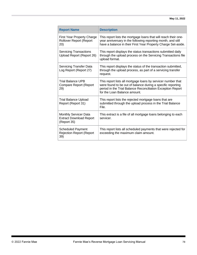| <b>Report Name</b>                                                         | <b>Description</b>                                                                                                                                                                                                         |
|----------------------------------------------------------------------------|----------------------------------------------------------------------------------------------------------------------------------------------------------------------------------------------------------------------------|
| <b>First Year Property Charge</b><br><b>Rollover Report (Report</b><br>20) | This report lists the mortgage loans that will reach their one-<br>year anniversary in the following reporting month, and still<br>have a balance in their First Year Property Charge Set-aside.                           |
| <b>Servicing Transactions</b><br>Upload Report (Report 26)                 | This report displays the status transactions submitted daily<br>through the upload process on the Servicing Transactions file<br>upload format.                                                                            |
| <b>Servicing Transfer Data</b><br>Log Report (Report 27)                   | This report displays the status of the transaction submitted,<br>through the upload process, as part of a servicing transfer<br>request.                                                                                   |
| <b>Trial Balance UPB</b><br><b>Compare Report (Report</b><br>29)           | This report lists all mortgage loans by servicer number that<br>were found to be out of balance during a specific reporting<br>period in the Trial Balance Reconciliation Exception Report<br>for the Loan Balance amount. |
| <b>Trial Balance Upload</b><br>Report (Report 31)                          | This report lists the rejected mortgage loans that are<br>submitted through the upload process in the Trial Balance<br>File.                                                                                               |
| Monthly Servicer Data<br><b>Extract Download Report</b><br>(Report 35)     | This extract is a file of all mortgage loans belonging to each<br>servicer.                                                                                                                                                |
| <b>Scheduled Payment</b><br><b>Rejection Report (Report</b><br>39)         | This report lists all scheduled payments that were rejected for<br>exceeding the maximum claim amount.                                                                                                                     |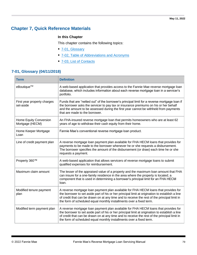# **Chapter 7, Quick Reference Materials**

## **In this Chapter**

This chapter contains the following topics:

- [7-01, Glossary](#page-78-0)
- [7-02, Table of Abbreviations and Acronyms](#page-81-0)
- [7-03, List of Contacts](#page-82-0)

## <span id="page-78-0"></span>**7-01, Glossary (04/11/2018)**

| <b>Term</b>                               | <b>Definition</b>                                                                                                                                                                                                                                                                                                                                             |  |
|-------------------------------------------|---------------------------------------------------------------------------------------------------------------------------------------------------------------------------------------------------------------------------------------------------------------------------------------------------------------------------------------------------------------|--|
| eBoutique™                                | A web-based application that provides access to the Fannie Mae reverse mortgage loan<br>database, which includes information about each reverse mortgage loan in a servicer's<br>portfolio.                                                                                                                                                                   |  |
| First year property charges<br>set-aside  | Funds that are "netted out" of the borrower's principal limit for a reverse mortgage loan if<br>the borrower asks the servicer to pay tax or insurance premiums on his or her behalf<br>and the amount to be assessed during the first year cannot be withheld from payments<br>that are made to the borrower.                                                |  |
| Home Equity Conversion<br>Mortgage (HECM) | An FHA-insured reverse mortgage loan that permits homeowners who are at least 62<br>years of age to withdraw their cash equity from their home.                                                                                                                                                                                                               |  |
| Home Keeper Mortgage<br>Loan              | Fannie Mae's conventional reverse mortgage loan product.                                                                                                                                                                                                                                                                                                      |  |
| Line of credit payment plan               | A reverse mortgage loan payment plan available for FHA HECM loans that provides for<br>payments to be made to the borrower whenever he or she requests a disbursement.<br>The borrower specifies the amount of the disbursement (or draw) each time he or she<br>requests a payment.                                                                          |  |
| Property 360™                             | A web-based application that allows servicers of reverse mortgage loans to submit<br>qualified expenses for reimbursement.                                                                                                                                                                                                                                    |  |
| Maximum claim amount                      | The lesser of the appraised value of a property and the maximum loan amount that FHA<br>can insure for a one-family residence in the area where the property is located; a<br>component that is used in determining a borrower's principal limit for an FHA HECM<br>loan.                                                                                     |  |
| Modified tenure payment<br>plan           | A reverse mortgage loan payment plan available for FHA HECM loans that provides for<br>the borrower to set aside part of his or her principal limit at origination to establish a line<br>of credit that can be drawn on at any time and to receive the rest of the principal limit in<br>the form of scheduled equal monthly installments over a fixed term. |  |
| Modified term payment plan                | A reverse mortgage loan payment plan available for FHA HECM loans that provides for<br>the borrower to set aside part of his or her principal limit at origination to establish a line<br>of credit that can be drawn on at any time and to receive the rest of the principal limit in<br>the form of scheduled equal monthly installments over a fixed term. |  |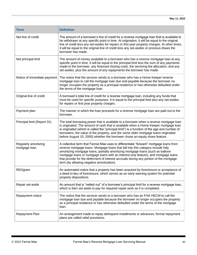| <b>Term</b>                           | <b>Definition</b>                                                                                                                                                                                                                                                                                                                                                                                                                                                                           |
|---------------------------------------|---------------------------------------------------------------------------------------------------------------------------------------------------------------------------------------------------------------------------------------------------------------------------------------------------------------------------------------------------------------------------------------------------------------------------------------------------------------------------------------------|
| Net line of credit                    | The amount of a borrower's line of credit for a reverse mortgage loan that is available to<br>be withdrawn at any specific point in time. At origination, it will be equal to the original<br>line of credit less any set-asides for repairs or first year property charges. At other times,<br>it will be equal to the original line of credit less any set-asides or previous draws the<br>borrower has made.                                                                             |
| Net principal limit                   | The amount of money available to a borrower who has a reverse mortgage loan at any<br>specific point in time. It will be equal to the principal limit less the sum of any payments<br>made to the borrower, any financed closing costs, the servicing fee allocation, and any<br>set-asides, plus the amount of any repayments the borrower has made.                                                                                                                                       |
| Notice of immediate payment           | The notice that the servicer sends to a borrower who has a Home Keeper reverse<br>mortgage loan to call the mortgage loan due and payable because the borrower no<br>longer occupies the property as a principal residence or has otherwise defaulted under<br>the terms of the mortgage loan.                                                                                                                                                                                              |
| Original line of credit               | A borrower's total line of credit for a reverse mortgage loan, including any funds that<br>must be used for specific purposes. It is equal to the principal limit plus any set-asides<br>for repairs or first year property charges.                                                                                                                                                                                                                                                        |
| Payment plan                          | The manner in which the loan proceeds for a reverse mortgage loan are paid out to the<br>borrower.                                                                                                                                                                                                                                                                                                                                                                                          |
| Principal limit (Report 31)           | The total borrowing power that is available to a borrower when a reverse mortgage loan<br>is originated. The amount of cash that is available when a Home Keeper mortgage loan<br>is originated (which is called the "principal limit") is a function of the age and number of<br>borrowers, the value of the property, and (for some older mortgage loans originated<br>before August 10, 2000) whether the borrower chose an equity share feature.                                        |
| Regularly amortizing<br>mortgage loan | A collective term that Fannie Mae uses to differentiate "forward" mortgage loans from<br>reverse mortgage loans. Mortgage loans that fall into this category include fully<br>amortizing mortgage loans, partially amortizing mortgage loans (such as balloon<br>mortgage loans or mortgage loans with an interest-only feature), and mortgage loans<br>that provide for the deferment of interest accruals during any portion of the mortgage<br>term (by allowing negative amortization). |
| REOgram                               | An automated notice that a property has been acquired by foreclosure or acceptance of<br>a deed-in-lieu of foreclosure, which serves as an early warning system for potential<br>property dispositions.                                                                                                                                                                                                                                                                                     |
| Repair set-aside                      | An amount that is "netted out" of a borrower's principal limit for a reverse mortgage loan,<br>which is then set aside to pay for required repair work as it is completed.                                                                                                                                                                                                                                                                                                                  |
| Repayment notice                      | The notice that the servicer sends to a borrower who has an FHA HECM to call the<br>mortgage loan due and payable because the borrower no longer occupies the property<br>as a principal residence or has otherwise defaulted under the terms of the mortgage<br>loan.                                                                                                                                                                                                                      |
| Repayment Plan                        | An arrangement made to repay delinquent installments or advances; formal repayment<br>plans are called relief provisions.                                                                                                                                                                                                                                                                                                                                                                   |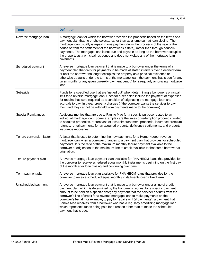| <b>Term</b>                | <b>Definition</b>                                                                                                                                                                                                                                                                                                                                                                                                                                                                                                                                                                                                                       |
|----------------------------|-----------------------------------------------------------------------------------------------------------------------------------------------------------------------------------------------------------------------------------------------------------------------------------------------------------------------------------------------------------------------------------------------------------------------------------------------------------------------------------------------------------------------------------------------------------------------------------------------------------------------------------------|
| Reverse mortgage loan      | A mortgage loan for which the borrower receives the proceeds based on the terms of a<br>payment plan that he or she selects, rather than as a lump sum at loan closing. The<br>mortgage loan usually is repaid in one payment (from the proceeds of the sale of the<br>house or from the settlement of the borrower's estate), rather than through periodic<br>payments. The mortgage loan is not due and payable as long as the borrower occupies<br>the property as a principal residence and does not violate any of the mortgage loan<br>covenants.                                                                                 |
| Scheduled payment          | A reverse mortgage loan payment that is made to a borrower under the terms of a<br>payment plan that calls for payments to be made at stated intervals over a defined term<br>or until the borrower no longer occupies the property as a principal residence or<br>otherwise defaults under the terms of the mortgage loan; the payment that is due for any<br>given month (or any given biweekly payment period) for a regularly amortizing mortgage<br>loan.                                                                                                                                                                          |
| Set-aside                  | Funds for a specified use that are "netted out" when determining a borrower's principal<br>limit for a reverse mortgage loan. Uses for a set-aside include the payment of expenses<br>for repairs that were required as a condition of originating the mortgage loan and<br>accruals to pay first year property charges (if the borrower wants the servicer to pay<br>them and they cannot be withheld from payments made to the borrower).                                                                                                                                                                                             |
| <b>Special Remittances</b> | Additional monies that are due to Fannie Mae for a specific purpose related to an<br>individual mortgage loan. Some examples are the sales or redemption proceeds related<br>to acquired properties, repurchase or loss reimbursement proceeds, insurance premium<br>refunds, rental payments for an acquired property, deficiency settlements, and property<br>insurance recoveries.                                                                                                                                                                                                                                                   |
| Tenure conversion factor   | A factor that is used to determine the new payments for a Home Keeper reverse<br>mortgage loan when a borrower changes to a payment plan that provides for scheduled<br>payments. It is the ratio of the maximum monthly tenure payment available to the<br>borrower at origination to the maximum line of credit available to that same borrower at<br>origination.                                                                                                                                                                                                                                                                    |
| Tenure payment plan        | A reverse mortgage loan payment plan available for FHA HECM loans that provides for<br>the borrower to receive scheduled equal monthly installments beginning on the first day<br>of the month after loan closing and continuing over time.                                                                                                                                                                                                                                                                                                                                                                                             |
| Term payment plan          | A reverse mortgage loan plan available for FHA HECM loans that provides for the<br>borrower to receive scheduled equal monthly installments over a fixed term.                                                                                                                                                                                                                                                                                                                                                                                                                                                                          |
| Unscheduled payment        | A reverse mortgage loan payment that is made to a borrower under a line of credit<br>payment plan, which is determined by the borrower's request for a specific payment<br>amount to be paid on a specific date; any payment that the servicer deducts from the<br>borrower's line of credit for a reverse mortgage loan to make payments on the<br>borrower's behalf (for example, to pay for repairs or T&I payments); a payment that<br>Fannie Mae receives from a borrower who has a regularly amortizing mortgage loan,<br>which represents funds being paid for a reason other than to make the scheduled<br>payment that is due. |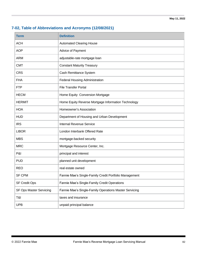# <span id="page-81-0"></span>**7-02, Table of Abbreviations and Acronyms (12/08/2021)**

| <b>Term</b>             | <b>Definition</b>                                      |
|-------------------------|--------------------------------------------------------|
| <b>ACH</b>              | <b>Automated Clearing House</b>                        |
| <b>AOP</b>              | Advice of Payment                                      |
| <b>ARM</b>              | adjustable-rate mortgage loan                          |
| <b>CMT</b>              | <b>Constant Maturity Treasury</b>                      |
| <b>CRS</b>              | Cash Remittance System                                 |
| <b>FHA</b>              | Federal Housing Administration                         |
| <b>FTP</b>              | <b>File Transfer Portal</b>                            |
| <b>HECM</b>             | Home Equity Conversion Mortgage                        |
| <b>HERMIT</b>           | Home Equity Reverse Mortgage Information Technology    |
| <b>HOA</b>              | Homeowner's Association                                |
| <b>HUD</b>              | Department of Housing and Urban Development            |
| <b>IRS</b>              | <b>Internal Revenue Service</b>                        |
| <b>LIBOR</b>            | London Interbank Offered Rate                          |
| <b>MBS</b>              | mortgage-backed security                               |
| <b>MRC</b>              | Mortgage Resource Center, Inc.                         |
| <b>P&amp;I</b>          | principal and interest                                 |
| <b>PUD</b>              | planned unit development                               |
| <b>REO</b>              | real estate owned                                      |
| <b>SF CPM</b>           | Fannie Mae's Single-Family Credit Portfolio Management |
| <b>SF Credit Ops</b>    | Fannie Mae's Single-Family Credit Operations           |
| SF Ops Master Servicing | Fannie Mae's Single-Family Operations Master Servicing |
| T&I                     | taxes and insurance                                    |
| <b>UPB</b>              | unpaid principal balance                               |